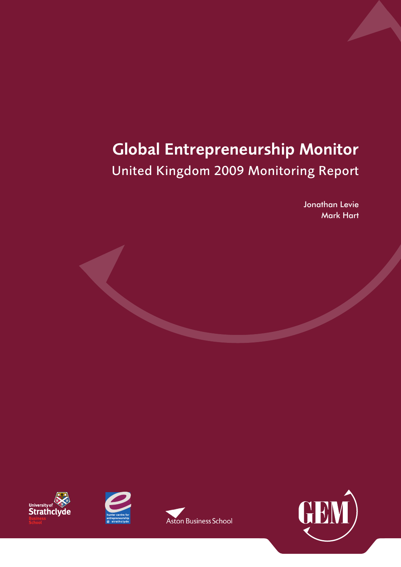# Global Entrepreneurship Monitor United Kingdom 2009 Monitoring Report

Jonathan Levie Mark Hart







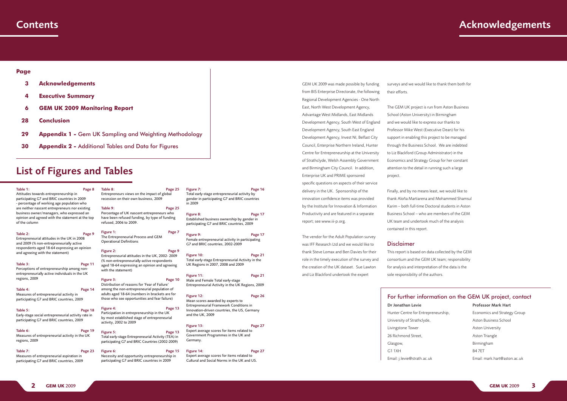GEM UK 2009 was made possible by funding from BIS Enterprise Directorate, the following Regional Development Agencies - One North East, North West Development Agency, Advantage West Midlands, East Midlands Development Agency, South West of England Development Agency, South East England Development Agency, Invest NI, Belfast City Council, Enterprise Northern Ireland, Hunter Centre for Entrepreneurship at the University of Strathclyde, Welsh Assembly Government and Birmingham City Council. In addition, Enterprise UK and PRIME sponsored specific questions on aspects of their service delivery in the UK. Sponsorship of the innovation confidence items was provided by the Institute for Innovation & Information Productivity and are featured in a separate

report; see www.iii-p.org.

# The vendor for the Adult Population survey was IFF Research Ltd and we would like to thank Steve Lomax and Ben Davies for their role in the timely execution of the survey and the creation of the UK dataset. Sue Lawton and Liz Blackford undertook the expert

surveys and we would like to thank them both for

- 
- 
- 
- 

# their efforts.

The GEM UK project is run from Aston Business School (Aston University) in Birmingham and we would like to express our thanks to Professor Mike West (Executive Dean) for his support in enabling this project to be managed through the Business School. We are indebted to Liz Blackford (Group Administrator) in the Economics and Strategy Group for her constant attention to the detail in running such a large project.

#### Table 3: Page 11 Perceptions of entrepreneurship among nonentrepreneurially active individuals in the UK regions, 2009

#### Table 4: Page 14 Measures of entrepreneurial activity in participating G7 and BRIC countries, 2009

Finally, and by no means least, we would like to thank Aloña Martiarena and Mohammed Shamsul Karim – both full-time Doctoral students in Aston Business School – who are members of the GEM UK team and undertook much of the analysis contained in this report.

### **Disclaimer**

Table 5: Page 18 Early-stage social entrepreneurial activity rate in participating G7 and BRIC countries, 2009

#### Table 6: Page 19 Measures of entrepreneurial activity in the UK regions, 2009

Table 7: Page 23 Measures of entrepreneurial aspiration in participating G7 and BRIC countries, 2009

#### Table 8: Page 25 Entrepreneurs views on the impact of global recession on their own business, 2009

This report is based on data collected by the GEM consortium and the GEM UK team; responsibility for analysis and interpretation of the data is the sole responsibility of the authors.

Table 9: Page 25 Percentage of UK nascent entrepreneurs who have been refused funding, by type of funding refused, 2006 to 2009.

#### Figure 1: Page 7 The Entrepreneurial Process and GEM Operational Definitions

# For further information on the GEM UK project, contact

#### Figure 2: Page 9 Entrepreneurial attitudes in the UK, 2002- 2009 (% non-entrepreneurially-active respondents aged 18-64 expressing an opinion and agreeing with the statement)

Dr Jonathan Levie Hunter Centre for Entrepreneurship, University of Strathclyde, Livingstone Tower 26 Richmond Street Glasgow, G1 1XH Email: j.levie@strath.ac.uk

#### Figure 3: Page 10 Distribution of reasons for 'Fear of Failure' among the non-entrepreneurial population of adults aged 18-64 (numbers in brackets are for those who see opportunities and fear failure)

Figure 4: Page 13 Participation in entrepreneurship in the UK by most established stage of entrepreneurial activity, 2002 to 2009

Professor Mark Hart Economics and Strategy Group Aston Business School Aston University Aston Triangle Birmingham B4 7ET Email: mark.hart@aston.ac.uk

Figure 6: Page 15 Necessity and opportunity entrepreneurship in participating G7 and BRIC countries in 2009

#### Figure 7: Page 16 Total early-stage entrepreneurial activity by gender in participating G7 and BRIC countries in 2009

# Contents Acknowledgements

## **Page**

Figure 8: Page 17 Established business ownership by gender in participating G7 and BRIC countries, 2009

#### Figure 9: Page 17 Female entrepreneurial activity in participating G7 and BRIC countries, 2002-2009

- **3 Acknowledgements**
- **4 [Executive Summary](#page-2-0)**
- **6 [GEM UK 2009 Monitoring Report](#page-2-0)**
- **28 [Conclusion](#page-13-0)**
- **29 [Appendix 1](#page-13-0)** Gem UK Sampling and Weighting Methodology
- **30 [Appendix 2](#page-13-0)** Additional Tables and Data for Figures

# List of Figures and Tables

#### Table 1: Page 8

#### Figure 12: Page 26 Mean scores awarded by experts to Entrepreneurial Framework Conditions in Innovation-driven countries, the US, Germany and the UK, 2009

Attitudes towards entrepreneurship in participating G7 and BRIC countries in 2009 - percentage of working age population who are neither nascent entrepreneurs nor existing business owner/managers, who expressed an opinion and agreed with the statement at the top of the column

#### Table 2: Page 9 Entrepreneurial attitudes in the UK in 2008 and 2009 (% non-entrepreneurially active respondents aged 18-64 expressing an opinion and agreeing with the statement)

#### Figure 5: Page 13 Total early-stage Entrepreneurial Activity (TEA) in participating G7 and BRIC Countries (2002-2009)

#### Figure 10: Page 21 Total early-stage Entrepreneurial Activity in the UK Regions in 2007, 2008 and 2009

Figure 11: Page 21 Male and Female Total early-stage Entrepreneurial Activity in the UK Regions, 2009

Figure 13: Page 27 Expert average scores for items related to Government Programmes in the UK and Germany.

#### Figure 14: Page 27 Expert average scores for items related to Cultural and Social Norms in the UK and US.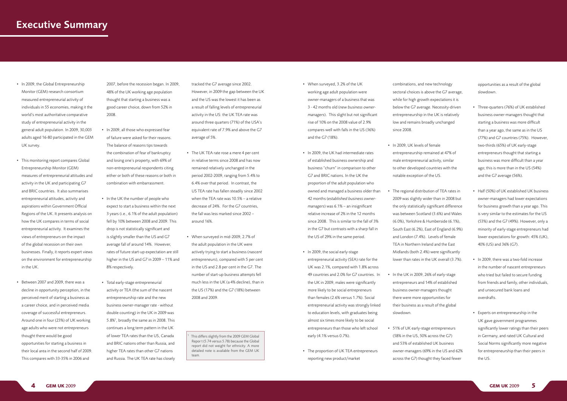- In 2009, the Global Entrepreneurship Monitor (GEM) research consortium measured entrepreneurial activity of individuals in 55 economies, making it the world's most authoritative comparative study of entrepreneurial activity in the general adult population. In 2009, 30,003 adults aged 16-80 participated in the GEM UK survey.
- This monitoring report compares Global Entrepreneurship Monitor (GEM) measures of entrepreneurial attitudes and activity in the UK and participating G7 and BRIC countries. It also summarises entrepreneurial attitudes, activity and aspirations within Government Official Regions of the UK. It presents analysis on how the UK compares in terms of social entrepreneurial activity. It examines the views of entrepreneurs on the impact of the global recession on their own businesses. Finally, it reports expert views on the environment for entrepreneurship in the UK.
- Between 2007 and 2009, there was a decline in opportunity perception, in the perceived merit of starting a business as a career choice, and in perceived media coverage of successful entrepreneurs. Around one in four (23%) of UK working age adults who were not entrepreneurs thought there would be good opportunities for starting a business in their local area in the second half of 2009. This compares with 33-35% in 2006 and

2007, before the recession began. In 2009, 48% of the UK working age population thought that starting a business was a good career choice, down from 52% in 2008.

- The UK TEA rate rose a mere 4 per cent in relative terms since 2008 and has now remained relatively unchanged in the period 2002-2009, ranging from 5.4% to 6.4% over that period. In contrast, the US TEA rate has fallen steadily since 2002 when the TEA rate was 10.5% – a relative decrease of 24%. For the G7 countries, the fall was less marked since 2002 – around 16%.
- • When surveyed in mid-2009, 2.7% of the adult population in the UK were actively trying to start a business (*nascent entrepreneurs*), compared with 5 per cent in the US and 2.8 per cent in the G7. The number of start-up business attempts fell much less in the UK (a 4% decline), than in the US (17%) and the G7 (18%) between 2008 and 2009.
- • In 2009, all those who expressed fear of failure were asked for their reasons. The balance of reasons tips towards the combination of fear of bankruptcy and losing one's property, with 69% of non-entrepreneurial respondents citing either or both of these reasons or both in combination with embarrassment.
- In the UK the number of people who expect to start a business within the next 3 years (i.e., 6.1% of the adult population) fell by 10% between 2008 and 2009. This drop is not statistically significant and is slightly smaller than the US and G7 average fall of around 14%. However, rates of future start-up expectation are still higher in the US and G7 in 2009 – 11% and 8% respectively.
- • Total early-stage entrepreneurial activity or TEA (the sum of the nascent entrepreneurship rate and the new business owner-manager rate - without double counting) in the UK in 2009 was 5.8%<sup>1</sup>, broadly the same as in 2008. This continues a long term pattern in the UK of lower TEA rates than the US, Canada and BRIC nations other than Russia, and higher TEA rates than other G7 nations and Russia. The UK TEA rate has closely

tracked the G7 average since 2002. However, in 2009 the gap between the UK and the US was the lowest it has been as a result of falling levels of entrepreneurial activity in the US: the UK TEA rate was around three quarters (71%) of the USA's equivalent rate of 7.9% and above the G7 average of 5%.

This differs slightly from the 2009 GEM Global Repor t (5.74 versus 5.78) because the Global report did not weight for ethnicity. A more detailed note is available from the GEM UK team.

- • When surveyed, 3.2% of the UK working age adult population were owner-managers of a business that was 3 - 42 months old (*new business ownermanagers*). This slight but not significant rise of 10% on the 2008 value of 2.9% compares well with falls in the US (36%) and the G7 (18%).
- In 2009, the UK had intermediate rates of established business ownership and business "churn" in comparison to other G7 and BRIC nations. In the UK the proportion of the adult population who owned and managed a business older than 42 months (*established business ownermanagers*) was 6.1% – an insignificant relative increase of 2% in the 12 months since 2008. This is similar to the fall of 3% in the G7 but contrasts with a sharp fall in the US of 29% in the same period.
- In 2009, the social early-stage entrepreneurial activity (SEA) rate for the UK was 2.1%, compared with 1.8% across 49 countries and 2.0% for G7 countries. In the UK in 2009, males were significantly more likely to be social entrepreneurs than females (2.6% versus 1.7%). Social entrepreneurial activity was strongly linked to education levels, with graduates being almost six times more likely to be social entrepreneurs than those who left school early (4.1% versus 0.7%).
- The proportion of UK TEA entrepreneurs reporting new product/market
- combinations, and new technology sectoral choices is above the G7 average, while for high growth expectations it is below the G7 average. Necessity-driven entrepreneurship in the UK is relatively low and remains broadly unchanged since 2008.
- In 2009, UK levels of female entrepreneurship remained at 47% of male entrepreneurial activity, similar to other developed countries with the notable exception of the US.
- The regional distribution of TEA rates in 2009 was slightly wider than in 2008 but the only statistically significant difference was between Scotland (3.6%) and Wales (6.0%), Yorkshire & Humberside (6.1%), South East (6.2%), East of England (6.9%) and London (7.4%). Levels of female TEA in Northern Ireland and the East Midlands (both 2.4%) were significantly lower than rates in the UK overall (3.7%).
- In the UK in 2009, 26% of early-stage entrepreneurs and 14% of established business owner-managers thought there were more opportunities for their business as a result of the global slowdown.
- • 51% of UK early-stage entrepreneurs (58% in the US, 50% across the G7) and 53% of established UK business owner-managers (69% in the US and 62% across the G7) thought they faced fewer

opportunities as a result of the global slowdown.

- • Three-quarters (76%) of UK established business owner-managers thought that starting a business was more difficult than a year ago, the same as in the US (77%) and G7 countries (75%). However, two-thirds (65%) of UK early-stage entrepreneurs thought that starting a business was more difficult than a year ago; this is more than in the US (54%) and the G7 average (56%).
- Half (50%) of UK established UK business owner-managers had lower expectations for business growth than a year ago. This is very similar to the estimates for the US (53%) and the G7 (49%). However, only a minority of early-stage entrepreneurs had lower expectations for growth: 45% (UK), 40% (US) and 36% (G7).
- In 2009, there was a two-fold increase in the number of nascent entrepreneurs who tried but failed to secure funding from friends and family, other individuals, and unsecured bank loans and overdrafts.
- • Experts on entrepreneurship in the UK gave government programmes significantly lower ratings than their peers in Germany, and rated UK Cultural and Social Norms significantly more negative for entrepreneurship than their peers in the US.

# <span id="page-2-0"></span>Executive Summary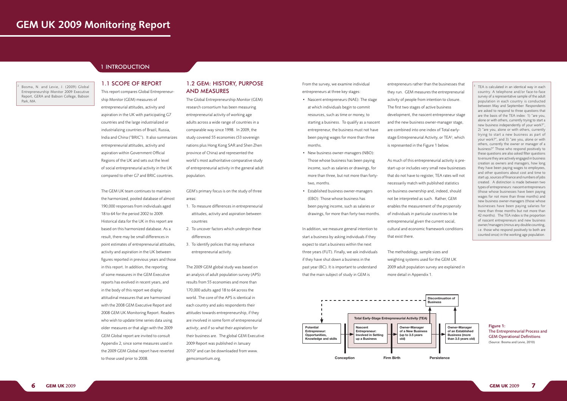



1.1 SCOPE OF REPORT

# This report compares Global Entrepreneurship Monitor (GEM) measures of entrepreneurial attitudes, activity and aspiration in the UK with participating G7 countries and the large industrialized or industrializing countries of Brazil, Russia, India and China ("BRIC"). It also summarizes entrepreneurial attitudes, activity and aspiration within Government Official Regions of the UK and sets out the level of social entrepreneurial activity in the UK compared to other G7 and BRIC countries.

The GEM UK team continues to maintain the harmonized, pooled database of almost 190,000 responses from individuals aged 18 to 64 for the period 2002 to 2009. Historical data for the UK in this report are based on this harmonized database. As a result, there may be small differences in point estimates of entrepreneurial attitudes, activity and aspiration in the UK between figures reported in previous years and those in this report. In addition, the reporting of some measures in the GEM Executive reports has evolved in recent years, and in the body of this report we display attitudinal measures that are harmonized with the 2008 GEM Executive Report and 2008 GEM UK Monitoring Report. Readers who wish to update time series data using older measures or that align with the 2009 GEM Global report are invited to consult Appendix 2, since some measures used in the 2009 GEM Global report have reverted to those used prior to 2008.

## 1.2 GEM: HISTORY, PURPOSE AND MEASURES

- Nascent entrepreneurs (NAE): The stage at which individuals begin to commit resources, such as time or money, to starting a business. To qualify as a nascent entrepreneur, the business must not have been paying wages for more than three months.
- New business owner-managers (NBO): Those whose business has been paying income, such as salaries or drawings, for more than three, but not more than fortytwo, months.
- • Established business owner-managers (EBO): Those whose business has been paying income, such as salaries or drawings, for more than forty-two months.

The Global Entrepreneurship Monitor (GEM) research consortium has been measuring entrepreneurial activity of working age adults across a wide range of countries in a comparable way since 1998. In 2009, the study covered 55 economies (53 sovereign nations plus Hong Kong SAR and Shen Zhen province of China) and represented the world's most authoritative comparative study of entrepreneurial activity in the general adult population.

GEM's primary focus is on the study of three areas:

- 1. To measure differences in entrepreneurial attitudes, activity and aspiration between countries
- 2. To uncover factors which underpin these differences
- 3. To identify policies that may enhance entrepreneurial activity.

The 2009 GEM global study was based on an analysis of adult population survey (APS) results from 55 economies and more than 170,000 adults aged 18 to 64 across the world. The core of the APS is identical in each country and asks respondents their *attitudes* towards entrepreneurship, if they are involved in some form of entrepreneurial *activity*, and if so what their *aspirations* for their business are. The global GEM Executive 2009 Report was published in January 2010<sup>2</sup> and can be downloaded from www. gemconsortium.org.

From the survey, we examine individual entrepreneurs at three key stages:

Bosma, N. and Levie, J. (2009) Global Entrepreneurship Monitor 2009 Executive Report, GERA and Babson College, Babson Park, MA.

> In addition, we measure general intention to start a business by asking individuals if they expect to start a business within the next three years (FUT). Finally, we ask individuals if they have shut down a business in the past year (BC). It is important to understand that the main subject of study in GEM is

entrepreneurs rather than the businesses that they run. GEM measures the entrepreneurial activity of people from intention to closure. The first two stages of active business development, the nascent entrepreneur stage and the new business owner-manager stage, are combined into one index of Total earlystage Entrepreneurial Activity, or TEA<sup>3</sup>, which is represented in the Figure 1 below.

As much of this entrepreneurial activity is prestart-up or includes very small new businesses that do not have to register, TEA rates will not necessarily match with published statistics on business ownership and, indeed, should not be interpreted as such. Rather, GEM enables the measurement of the *propensity* of individuals in particular countries to be entrepreneurial *given* the current social, cultural and economic framework conditions that exist there.

The methodology, sample sizes and weighting systems used for the GEM UK 2009 adult population survey are explained in more detail in Appendix 1.

3

 TEA is calculated in an identical way in each country. A telephone and/or face-to-face survey of a representative sample of the adult population in each country is conducted between May and September. Respondents are asked to respond to three questions that are the basis of the TEA index: 1) "are you, alone or with others, currently trying to start a new business independently of your work?", 2) "are you, alone or with others, currently trying to start a new business as part of your work?", and 3) "are you, alone or with others, currently the owner or manager of a business?" Those who respond positively to these questions are also asked filter questions to ensure they are actively engaged in business creation as owners and managers, how long they have been paying wages to employees, and other questions about cost and time to start up, sources of finance and numbers of jobs created. A distinction is made between two types of entrepreneurs: nascent entrepreneurs (those whose businesses have been paying wages for not more than three months) and new business owner-managers (those whose businesses have been paying salaries for more than three months but not more than 42 months). The TEA index is the proportion of nascent entrepreneurs and new business owner/managers (minus any double counting, i.e. those who respond positively to both are counted once) in the working age population.

> Figure 1: The Entrepreneurial Process and GEM Operational Definitions (Source: Bosma and Levie, 2010)

# GEM UK 2009 Monitoring Report

# 1 INTRODUCTION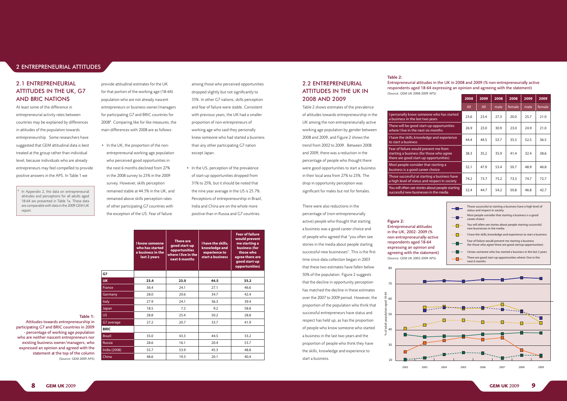|               | <b>I know someone</b><br>who has started<br>a business in the<br>last 2 years | <b>There are</b><br>good start-up<br><b>opportunities</b><br>where I live in the<br>next 6 months | I have the skills,<br>knowledge and<br>experience to<br>start a business |      |
|---------------|-------------------------------------------------------------------------------|---------------------------------------------------------------------------------------------------|--------------------------------------------------------------------------|------|
| G7            |                                                                               |                                                                                                   |                                                                          |      |
| <b>UK</b>     | 23.4                                                                          | 23.0                                                                                              | 44.5                                                                     | 35.2 |
| France        | 36.4                                                                          | 24.1                                                                                              | 27.1                                                                     | 46.6 |
| Germany       | 28.0                                                                          | 20.6                                                                                              | 34.7                                                                     | 42.4 |
| Italy         | 27.9                                                                          | 24.1                                                                                              | 36.3                                                                     | 39.4 |
| Japan         | 18.5                                                                          | 7.2                                                                                               | 9.2                                                                      | 58.8 |
| US,           | 28.8                                                                          | 25.4                                                                                              | 50.2                                                                     | 28.8 |
| G7 average    | 27.2                                                                          | 20.7                                                                                              | 33.7                                                                     | 41.9 |
| <b>BRIC</b>   |                                                                               |                                                                                                   |                                                                          |      |
| <b>Brazil</b> | 35.0                                                                          | 43.3                                                                                              | 44.5                                                                     | 33.2 |
| Russia        | 28.6                                                                          | 16.1                                                                                              | 20.4                                                                     | 53.7 |
| India (2008)  | 55.7                                                                          | 53.9                                                                                              | 45.3                                                                     | 48.8 |
| China         | 48.6                                                                          | 19.3                                                                                              | 20.1                                                                     | 40.4 |

• In the UK, the proportion of the nonentrepreneurial working age population who perceived good opportunities in the next 6 months declined from 27% in the 2008 survey to 23% in the 2009 survey. However, skills perception remained stable at 44.5% in the UK, and remained above skills perception rates of other participating G7 countries with the exception of the US. Fear of failure

provide attitudinal estimates for the UK for that portion of the working age (18-64) population who are not already nascent entrepreneurs or business owner/managers for participating G7 and BRIC countries for 20084 . Comparing like for like measures, the main differences with 2008 are as follows:

# 2.2 ENTREPRENEURIAL ATTITUDES IN THE UK IN 2008 AND 2009

• In the US, perception of the prevalence of start-up opportunities dropped from 31% to 25%, but it should be noted that the nine year average in the US is 25.7%. Perceptions of entrepreneurship in Brazil, India and China are on the whole more positive than in Russia and G7 countries.

There were also reductions in the percentage of (non-entrepreneurially active) people who thought that starting a business was a good career choice and of people who agreed that "you often see stories in the media about people starting successful new businesses". This is the first time since data collection began in 2003 that these two estimates have fallen below 50% of the population. Figure 2 suggests that the decline in opportunity perception has matched the decline in these estimates over the 2007 to 2009 period. However, the proportion of the population who think that successful entrepreneurs have status and respect has held up, as has the proportion of people who know someone who started a business in the last two years and the proportion of people who think they have the skills, knowledge and experience to start a business.

among those who perceived opportunities dropped slightly but not significantly to 35%. In other G7 nations, skills perception and fear of failure were stable. Consistent with previous years, the UK had a smaller proportion of non-entrepreneurs of working age who said they personally knew someone who had started a business than any other participating G7 nation except Japan.

### Table 1:

Attitudes towards entrepreneurship in participating G7 and BRIC countries in 2009 - percentage of working age population who are neither nascent entrepreneurs nor existing business owner/managers, who expressed an opinion and agreed with the statement at the top of the column (Source: GEM 2009 APS)

| <b>AND BRIC NATIONS</b>                                 | population who are not already nascent                    | 35%. In other G7 nations, skills perception | 2008 AND 2009                                |                                                                                            | 2008 | 2009 | 2008 | 2008   | 2009 | 2009   |
|---------------------------------------------------------|-----------------------------------------------------------|---------------------------------------------|----------------------------------------------|--------------------------------------------------------------------------------------------|------|------|------|--------|------|--------|
| At least some of the difference in                      | entrepreneurs or business owner/managers                  | and fear of failure were stable. Consistent | Table 2 shows estimates of the prevalence    |                                                                                            | All  | All  | male | female | male | female |
| Intrepreneurial activity rates between                  | for participating G7 and BRIC countries for               | with previous years, the UK had a smaller   | of attitudes towards entrepreneurship in the | I personally know someone who has started<br>a business in the last two years              | 23.6 | 23.4 | 27.3 | 20.0   | 25.7 | 21.0   |
| countries may be explained by differences               | 2008 <sup>4</sup> . Comparing like for like measures, the | proportion of non-entrepreneurs of          | UK among the non-entrepreneurially active    |                                                                                            |      |      |      |        |      |        |
| n attitudes of the population towards                   | main differences with 2008 are as follows:                | working age who said they personally        | working age population by gender between     | There will be good start-up opportunities<br>where I live in the next six months           | 26.9 | 23.0 | 30.9 | 23.0   | 24.9 | 21.0   |
| entrepreneurship. Some researchers have                 |                                                           | knew someone who had started a business     | 2008 and 2009, and Figure 2 shows the        | I have the skills, knowledge and experience                                                | 44.4 | 44.5 | 53.7 | 35.5   | 52.5 | 36.5   |
| uggested that GEM attitudinal data is best              | • In the UK, the proportion of the non-                   | than any other participating G7 nation      | trend from 2002 to 2009. Between 2008        | to start a business                                                                        |      |      |      |        |      |        |
| reated at the group rather than individual              | entrepreneurial working age population                    | except Japan.                               | and 2009, there was a reduction in the       | Fear of failure would prevent me from<br>starting a business (for those who agree          | 38.3 | 35.2 | 35.9 | 41.4   | 32.4 | 38.6   |
| evel, because individuals who are already               | who perceived good opportunities in                       |                                             | percentage of people who thought there       | there are good start-up opportunities)                                                     |      |      |      |        |      |        |
| intrepreneurs may feel compelled to provide             | the next 6 months declined from 27%                       | • In the US, perception of the prevalence   | were good opportunities to start a business  | Most people consider that starting a<br>business is a good career choice                   | 52.1 | 47.9 | 53.4 | 50.7   | 48.9 | 46.8   |
| oositive answers in the APS. In Table 1 we              | in the 2008 survey to 23% in the 2009                     | of start-up opportunities dropped from      | in their local area from 27% to 23%. The     | Those successful at starting a business have                                               | 74.2 | 73.7 | 75.2 | 73.3   | 74.7 | 72.7   |
|                                                         | survey. However, skills perception                        | 31% to 25%, but it should be noted that     | drop in opportunity perception was           | a high level of status and respect in society                                              |      |      |      |        |      |        |
| <sup>4</sup> In Appendix 2, the data on entrepreneurial | remained stable at 44.5% in the UK, and                   | the nine year average in the US is 25.7%.   | significant for males but not for females.   | You will often see stories about people starting<br>successful new businesses in the media | 52.4 | 44.7 | 54.2 | 50.8   | 46.8 | 42.7   |
|                                                         |                                                           |                                             |                                              |                                                                                            |      |      |      |        |      |        |

attitudes and perceptions for all adults aged 18-64 are presented in Table 1a. These data are comparable with data in the 2009 GEM UK report.

new business owner/manager





Figure 2:

Entrepreneurial attitudes in the UK, 2002- 2009 (% non-entrepreneurially-active respondents aged 18-64 expressing an opinion and agreeing with the statement) (Source: GEM UK 2002-2009 APS)

## 2 ENTREPRENEURIAL ATTITUDES

### Entrepreneurial attitudes in the UK in 2008 and 2009 (% non-entrepreneurially active respondents aged 18-64 expressing an opinion and agreeing with the statement)

# Table 2: (Source: GEM UK 2008-2009 APS)

### **I personally know some** .<br>a business in the last two

# 2.1 ENTREPRENEURIAL ATTITUDES IN THE UK, G7 AND BRIC NATIONS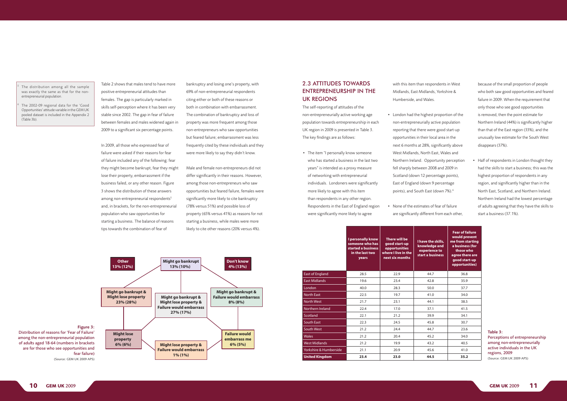Table 2 shows that males tend to have more positive entrepreneurial attitudes than females. The gap is particularly marked in skills self-perception where it has been very stable since 2002. The gap in fear of failure between females and males widened again in 2009 to a significant six percentage points.

In 2009, all those who expressed fear of failure were asked if their reasons for fear of failure included any of the following: fear they might become bankrupt, fear they might lose their property, embarrassment if the business failed, or any other reason. Figure 3 shows the distribution of these answers among non-entrepreneurial respondents<sup>5</sup> and, in brackets, for the non-entrepreneurial population who saw opportunities for starting a business. The balance of reasons tips towards the combination of fear of

bankruptcy and losing one's property, with 69% of non-entrepreneurial respondents citing either or both of these reasons or both in combination with embarrassment. The combination of bankruptcy and loss of property was more frequent among those non-entrepreneurs who saw opportunities but feared failure; embarrassment was less frequently cited by these individuals and they were more likely to say they didn't know.

• The item "I personally know someone who has started a business in the last two years" is intended as a proxy measure of networking with entrepreneurial individuals. Londoners were significantly more likely to agree with this item than respondents in any other region. Respondents in the East of England region were significantly more likely to agree

• London had the highest proportion of the non-entrepreneurially active population reporting that there were good start-up opportunities in their local area in the next 6 months at 28%, significantly above West Midlands, North East, Wales and Northern Ireland. Opportunity perception fell sharply between 2008 and 2009 in Scotland (down 12 percentage points), East of England (down 9 percentage points), and South East (down 7%).<sup>6</sup>

None of the estimates of fear of failure are significantly different from each other,

Male and female non-entrepreneurs did not differ significantly in their reasons. However, among those non-entrepreneurs who saw opportunities but feared failure, females were significantly more likely to cite bankruptcy (78% versus 51%) and possible loss of property (65% versus 41%) as reasons for not starting a business, while males were more likely to cite other reasons (20% versus 4%).

# 2.3 ATTITUDES TOWARDS ENTREPRENEURSHIP IN THE UK REGIONS

The self-reporting of attitudes of the non-entrepreneurially active working age population towards entrepreneurship in each UK region in 2009 is presented in Table 3. The key findings are as follows:

with this item than respondents in West Midlands, East Midlands, Yorkshire & Humberside, and Wales.

> • Half of respondents in London thought they had the skills to start a business; this was the highest proportion of respondents in any region, and significantly higher than in the North East, Scotland, and Northern Ireland. Northern Ireland had the lowest percentage of adults agreeing that they have the skills to start a business (37.1%).

### Figure 3:

Distribution of reasons for 'Fear of Failure' among the non-entrepreneurial population of adults aged 18-64 (numbers in brackets are for those who see opportunities and fear failure) (Source: GEM UK 2009 APS)

5

 The distribution among all the sample was exactly the same as that for the nonentrepreneurial population.

6 The 2002-09 regional data for the 'Good Opportunities' attitude variable in the GEM UK pooled dataset is included in the Appendix 2 (Table 3b).

|                        | I personally know<br>someone who has<br>started a business<br>in the last two<br>years | There will be<br>good start-up<br>opportunities<br>where I live in the<br>next six months | I have the skills,<br>knowledge and<br>experience to<br>start a business | <b>Fear of failure</b><br>would prevent<br>me from starting<br>a business (for<br>those who<br>agree there are<br>good start-up<br>opportunities) |
|------------------------|----------------------------------------------------------------------------------------|-------------------------------------------------------------------------------------------|--------------------------------------------------------------------------|---------------------------------------------------------------------------------------------------------------------------------------------------|
| <b>East of England</b> | 28.5                                                                                   | 22.9                                                                                      | 44.7                                                                     | 36.8                                                                                                                                              |
| <b>East Midlands</b>   | 19.6                                                                                   | 23.4                                                                                      | 42.8                                                                     | 35.9                                                                                                                                              |
| London                 | 40.0                                                                                   | 28.3                                                                                      | 50.0                                                                     | 37.7                                                                                                                                              |
| North East             | 22.5                                                                                   | 19.7                                                                                      | 41.0                                                                     | 34.0                                                                                                                                              |
| North West             | 21.7                                                                                   | 23.1                                                                                      | 44.1                                                                     | 38.5                                                                                                                                              |
| Northern Ireland       | 22.4                                                                                   | 17.0                                                                                      | 37.1                                                                     | 41.5                                                                                                                                              |
| Scotland               | 22.1                                                                                   | 21.2                                                                                      | 39.9                                                                     | 34.1                                                                                                                                              |
| <b>South East</b>      | 22.3                                                                                   | 24.5                                                                                      | 45.8                                                                     | 30.7                                                                                                                                              |
| <b>South West</b>      | 21.2                                                                                   | 24.4                                                                                      | 44.7                                                                     | 23.6                                                                                                                                              |
| <b>Wales</b>           | 21.2                                                                                   | 20.4                                                                                      | 45.2                                                                     | 34.0                                                                                                                                              |
| <b>West Midlands</b>   | 21.2                                                                                   | 19.9                                                                                      | 43.2                                                                     | 40.5                                                                                                                                              |
| Yorkshire & Humberside | 21.1                                                                                   | 20.9                                                                                      | 45.6                                                                     | 41.0                                                                                                                                              |
| <b>United Kingdom</b>  | 23.4                                                                                   | 23.0                                                                                      | 44.5                                                                     | 35.2                                                                                                                                              |

because of the small proportion of people who both saw good opportunities and feared failure in 2009. When the requirement that only those who see good opportunities is removed, then the point estimate for Northern Ireland (44%) is significantly higher than that of the East region (33%), and the unusually low estimate for the South West disappears (37%).

> Table 3: Perceptions of entrepreneurship among non-entrepreneurially active individuals in the UK regions, 2009 (Source: GEM UK 2009 APS)

$$
\mathsf{I}'
$$

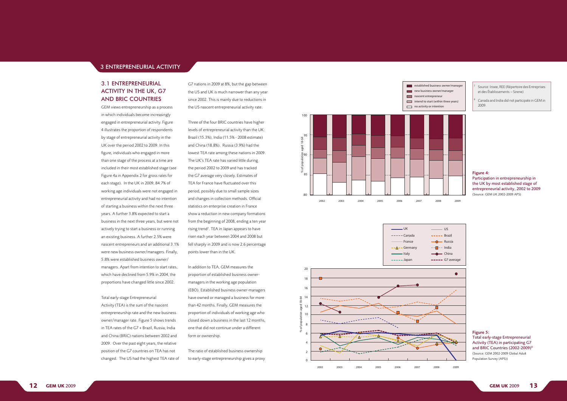# 3.1 ENTREPRENEURIAL ACTIVITY IN THE UK, G7 AND BRIC COUNTRIES

GEM views entrepreneurship as a process in which individuals become increasingly engaged in entrepreneurial activity. Figure 4 illustrates the proportion of respondents by stage of entrepreneurial activity in the UK over the period 2002 to 2009. In this figure, individuals who engaged in more than one stage of the process at a time are included in their most established stage (see Figure 4a in Appendix 2 for gross rates for each stage). In the UK in 2009, 84.7% of working age individuals were not engaged in entrepreneurial activity and had no intention of starting a business within the next three years. A further 3.8% expected to start a business in the next three years, but were not actively trying to start a business or running an existing business. A further 2.5% were nascent entrepreneurs and an additional 3.1% were new business owner/managers. Finally, 5.8% were established business owner/ managers. Apart from intention to start rates, which have declined from 5.9% in 2004, the proportions have changed little since 2002.

Total early-stage Entrepreneurial

Activity (TEA) is the sum of the nascent entrepreneurship rate and the new business owner/manager rate. Figure 5 shows trends in TEA rates of the G7 + Brazil, Russia, India and China (BRIC) nations between 2002 and 2009. Over the past eight years, the relative position of the G7 countries on TEA has not changed. The US had the highest TEA rate of

G7 nations in 2009 at 8%, but the gap between the US and UK is much narrower than any year since 2002. This is mainly due to reductions in the US nascent entrepreneurial activity rate.

Three of the four BRIC countries have higher levels of entrepreneurial activity than the UK: Brazil (15.3%), India (11.5% - 2008 estimate) and China (18.8%). Russia (3.9%) had the lowest TEA rate among these nations in 2009. The UK's TEA rate has varied little during the period 2002 to 2009 and has tracked the G7 average very closely. Estimates of TEA for France have fluctuated over this period, possibly due to small sample sizes and changes in collection methods. Official statistics on enterprise creation in France show a reduction in new company formations from the beginning of 2008, ending a ten year rising trend<sup>7</sup>. TEA in Japan appears to have risen each year between 2004 and 2008 but fell sharply in 2009 and is now 2.6 percentage points lower than in the UK.

In addition to TEA, GEM measures the proportion of established business ownermanagers in the working age population (EBO). Established business owner-managers have owned or managed a business for more than 42 months. Finally, GEM measures the proportion of individuals of working age who closed down a business in the last 12 months, one that did not continue under a different form or ownership.

The ratio of established business ownership to early-stage entrepreneurship gives a proxy

Opportunity TEA



Participation in entrepreneurship in the UK by most established stage of entrepreneurial activity, 2002 to 2009 Source: Insee, REE (Répertoir<br>
et des Établissements – Siren<br>
8 Canada and India did not part<br>
2009.<br> **Figure 4:**<br> **Participation in entrepreneu<br>
the UK by most established<br>
entrepreneurial activity, 20<br>
(Source: GEM UK 20** 

- **Example 3** established business owner/manager new business owner/manager
	-
	-
- Source: Insee, REE (Répertoire des Entreprises et des Établissements – Sirene)
- Canada and India did not participate in GEM in 2009.





Figure 5: Total early-stage Entrepreneurial Activity (TEA) in participating G7 and BRIC Countries (2002-2009) 8 (Source: GEM 2002-2009 Global Adult Population Survey (APS))

#### Figure 4:

8

### 3 ENTREPRENEURIAL ACTIVITY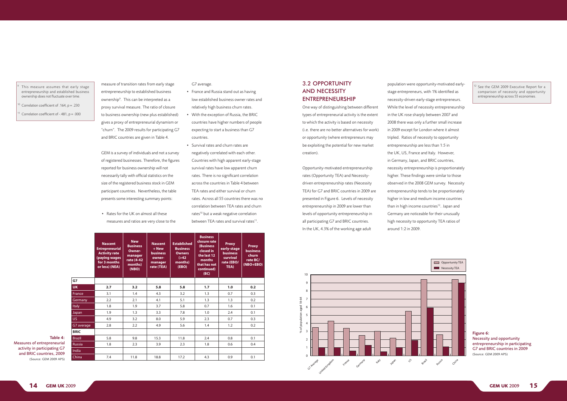|               | <b>Nascent</b><br><b>Entrepreneurial</b><br><b>Activity rate</b><br>(paying wages<br>for 3 months<br>or less) (NEA) | <b>New</b><br><b>Business</b><br>Owner-<br>manager<br>rate (4-42<br>months)<br>(NBO) | <b>Nascent</b><br>$+$ New<br><b>business</b><br>owner-<br>manager<br>rate (TEA) | <b>Established</b><br><b>Business</b><br><b>Owners</b><br>( > 42)<br>months)<br>(EBO) | <b>Business</b><br>closure rate<br>(Business<br>closed in<br>the last 12<br>months<br>that has not<br>continued)<br>(BC) | <b>Proxy</b><br>early-stage<br><b>business</b><br>survival<br>rate (EBO/<br>TEA) | <b>Proxy</b><br><b>business</b><br>churn<br>rate BC/<br>$(NBO + EBO)$ |
|---------------|---------------------------------------------------------------------------------------------------------------------|--------------------------------------------------------------------------------------|---------------------------------------------------------------------------------|---------------------------------------------------------------------------------------|--------------------------------------------------------------------------------------------------------------------------|----------------------------------------------------------------------------------|-----------------------------------------------------------------------|
| G7            |                                                                                                                     |                                                                                      |                                                                                 |                                                                                       |                                                                                                                          |                                                                                  |                                                                       |
| <b>UK</b>     | 2.7                                                                                                                 | 3.2                                                                                  | 5.8                                                                             | 5.8                                                                                   | 1.7                                                                                                                      | 1.0                                                                              | 0.2                                                                   |
| France        | 3.1                                                                                                                 | 1.4                                                                                  | 4.3                                                                             | 3.2                                                                                   | 1.3                                                                                                                      | 0.7                                                                              | 0.3                                                                   |
| Germany       | 2.2                                                                                                                 | 2.1                                                                                  | 4.1                                                                             | 5.1                                                                                   | 1.3                                                                                                                      | 1.3                                                                              | 0.2                                                                   |
| Italy         | 1.8                                                                                                                 | 1.9                                                                                  | 3.7                                                                             | 5.8                                                                                   | 0.7                                                                                                                      | 1.6                                                                              | 0.1                                                                   |
| Japan         | 1.9                                                                                                                 | 1.3                                                                                  | 3.3                                                                             | 7.8                                                                                   | 1.0                                                                                                                      | 2.4                                                                              | 0.1                                                                   |
| US.           | 4.9                                                                                                                 | 3.2                                                                                  | 8.0                                                                             | 5.9                                                                                   | 2.3                                                                                                                      | 0.7                                                                              | 0.3                                                                   |
| G7 average    | 2.8                                                                                                                 | 2.2                                                                                  | 4.9                                                                             | 5.6                                                                                   | 1.4                                                                                                                      | 1.2                                                                              | 0.2                                                                   |
| <b>BRIC</b>   |                                                                                                                     |                                                                                      |                                                                                 |                                                                                       |                                                                                                                          |                                                                                  |                                                                       |
| <b>Brazil</b> | 5.8                                                                                                                 | 9.8                                                                                  | 15.3                                                                            | 11.8                                                                                  | 2.4                                                                                                                      | 0.8                                                                              | 0.1                                                                   |
| <b>Russia</b> | 1.8                                                                                                                 | 2.3                                                                                  | 3.9                                                                             | 2.3                                                                                   | 1.8                                                                                                                      | 0.6                                                                              | 0.4                                                                   |
| India         |                                                                                                                     |                                                                                      |                                                                                 |                                                                                       |                                                                                                                          |                                                                                  |                                                                       |
| China         | 7.4                                                                                                                 | 11.8                                                                                 | 18.8                                                                            | 17.2                                                                                  | 4.3                                                                                                                      | 0.9                                                                              | 0.1                                                                   |

G7 average. • France and Russia stand out as having

- low established business owner rates and relatively high business churn rates.
- • With the exception of Russia, the BRIC countries have higher numbers of people expecting to start a business than G7 countries.
- • Survival rates and churn rates are negatively correlated with each other. Countries with high apparent early-stage survival rates have low apparent churn rates. There is no significant correlation across the countries in Table 4 between TEA rates and either survival or churn rates. Across all 55 countries there was no correlation between TEA rates and churn rates<sup>10</sup> but a weak negative correlation between TEA rates and survival rates<sup>11</sup>.

measure of transition rates from early stage

entrepreneurship to established business ownership<sup>9</sup>. This can be interpreted as a proxy survival measure. The ratio of closure to business ownership (new plus established) gives a proxy of entrepreneurial dynamism or "churn". The 2009 results for participating G7 and BRIC countries are given in Table 4.

One way of distinguishing between different types of entrepreneurial activity is the extent to which the activity is based on necessity (i.e. there are no better alternatives for work) or opportunity (where entrepreneurs may be exploiting the potential for new market creation).

Opportunity-motivated entrepreneurship rates (Opportunity TEA) and Necessitydriven entrepreneurship rates (Necessity TEA) for G7 and BRIC countries in 2009 are presented in Figure 6. Levels of necessity entrepreneurship in 2009 are lower than 6 levels of opportunity entrepreneurship in all participating G7 and BRIC countries. 4 In the UK, 4.3% of the working age adult

GEM is a survey of individuals and not a survey of registered businesses. Therefore, the figures reported for business ownership will not necessarily tally with official statistics on the size of the registered business stock in GEM participant countries. Nevertheless, the table presents some interesting summary points:

• Rates for the UK on almost all these measures and ratios are very close to the

# 3.2 OPPORTUNITY AND NECESSITY ENTREPRENEURSHIP

9

Correlation coefficient of  $-.481$ ,  $p = .000$ 

 This measure assumes that early stage entrepreneurship and established business ownership does not fluctuate over time.

Correlation coefficient of .164,  $p = .230$ 

**PORIUNIIY** population were opportunity-motivated earlystage entrepreneurs, with 1% identified as necessity-driven early-stage entrepreneurs. While the level of necessity entrepreneurship in the UK rose sharply between 2007 and 2008 there was only a further small increase in 2009 except for London where it almost tripled. Ratios of necessity to opportunity entrepreneurship are less than 1:5 in the UK, US, France and Italy. However, in Germany, Japan, and BRIC countries, necessity entrepreneurship is proportionately higher. These findings were similar to those observed in the 2008 GEM survey. Necessity entrepreneurship tends to be proportionately higher in low and medium income countries than in high income countries<sup>12</sup>. Japan and Germany are noticeable for their unusually high necessity to opportunity TEA ratios of around 1:2 in 2009. Brazil

Table 4:

Measures of entrepreneurial activity in participating G7 and BRIC countries, 2009 (Source: GEM 2009 APS) 95

 $\frac{1}{\sqrt{2}}$ 





Figure 6: Necessity and opportunity entrepreneurship in participating G7 and BRIC countries in 2009 (Source: GEM 2009 APS)

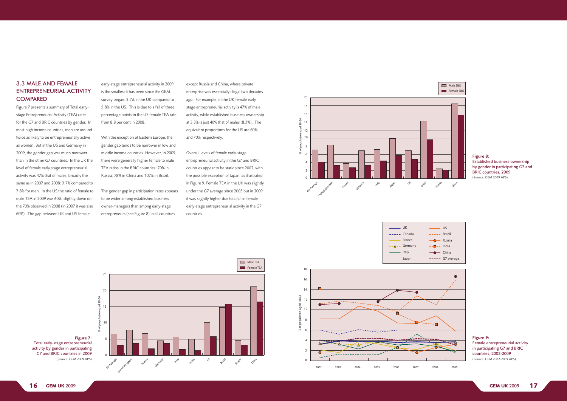early-stage entrepreneurial activity in 2009 6 is the smallest it has been since the GEM 4 survey began: 3.7% in the UK compared to 2 5.8% in the US. This is due to a fall of three percentage points in the US female TEA rate 0 from 8.8 per cent in 2008.

except Russia and China, where private enterprise was essentially illegal two decades ago. For example, in the UK female early stage entrepreneurial activity is 47% of male activity, while established business ownership at 3.3% is just 40% that of males (8.3%). The equivalent proportions for the US are 60% and 70% respectively.  $2002$ 

> Overall, levels of female early-stage entrepreneurial activity in the G7 and BRIC countries appear to be static since 2002, with the possible exception of Japan, as illustrated in Figure 9. Female TEA in the UK was slightly under the G7 average since 2003 but in 2009 it was slightly higher due to a fall in female early-stage entrepreneurial activity in the G7 countries.

Figure 7: Total early-stage entrepreneurial activity by gender in participating G7 and BRIC countries in 2009 (Source: GEM 2009 APS)

#### Figure 8: Established business ownership by gender in participating G7 and BRIC countries, 2009 (Source: GEM 2009 APS)

Figure 9: Female entrepreneurial activity in participating G7 and BRIC countries, 2002-2009 (Source: GEM 2002-2009 APS)

The gender gap in participation rates appears to be wider among established business 4 owner-managers than among early-stage entrepreneurs (see Figure 8) in all countries 2

With the exception of Eastern Europe, the gender gap tends to be narrower in low and middle income countries. However, in 2009, 10 there were generally higher female to male TEA ratios in the BRIC countries: 70% in 8 Russia; 78% in China and 107% in Brazil. 7

0 1 2 3 4



% of population aged 18-64 % of population aged 18-64



20



# 3.3 MALE AND FEMALE ENTREPRENEURIAL ACTIVITY **COMPARED**







2002 2003 2004 2005 2006 2007 2008 2009

% of adult population aged 18-64 % of population aged 18-64

Figure 7 presents a summary of Total earlystage Entrepreneurial Activity (TEA) rates for the G7 and BRIC countries by gender. In most high income countries, men are around twice as likely to be entrepreneurially active as women. But in the US and Germany in 2009, the gender gap was much narrower than in the other G7 countries. In the UK the level of female early stage entrepreneurial activity was 47% that of males, broadly the same as in 2007 and 2008: 3.7% compared to 7.8% for men. In the US the ratio of female to male TEA in 2009 was 60%, slightly down on the 70% observed in 2008 (in 2007 it was also 60%). The gap between UK and US female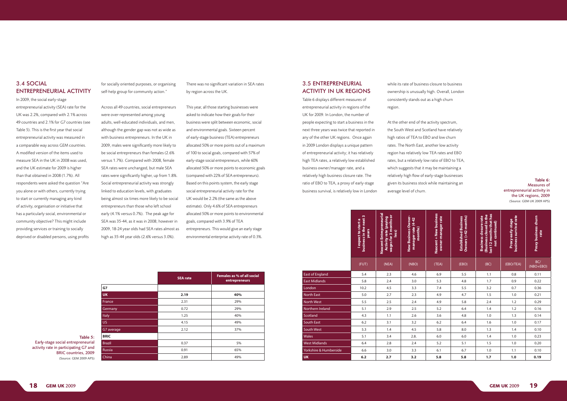| l expect to start a<br>business in the next 3<br>years | Nascent Entrepreneurial<br>Activity rate (paying<br>wages for 3 months or<br>less) | New Business Owner-<br>manager rate (4-42<br>months) | Nascent + New business<br>owner-manager rate | Established Business<br>Owners (>42 months) | Business closure rate<br>(Business closed in the<br>last 12 months that has<br>not continued) | Proxy early-stage<br>business survival rate | Proxy business churn<br>rate |
|--------------------------------------------------------|------------------------------------------------------------------------------------|------------------------------------------------------|----------------------------------------------|---------------------------------------------|-----------------------------------------------------------------------------------------------|---------------------------------------------|------------------------------|
| (FUT)                                                  | (NEA)                                                                              | (NBO)                                                | (TEA)                                        | (EBO)                                       | (BC)                                                                                          | (EBO/TEA)                                   | BC/<br>$(NBO + EBO)$         |
| 5.4                                                    | 2.3                                                                                | 4.6                                                  | 6.9                                          | 5.5                                         | 1.1                                                                                           | 0.8                                         | 0.11                         |
| 5.8                                                    | 2.4                                                                                | 3.0                                                  | 5.3                                          | 4.8                                         | 1.7                                                                                           | 0.9                                         | 0.22                         |
| 10.2                                                   | 4.5                                                                                | 3.3                                                  | 7.4                                          | 5.5                                         | 3.2                                                                                           | 0.7                                         | 0.36                         |
| 5.0                                                    | 2.7                                                                                | 2.3                                                  | 4.9                                          | 4.7                                         | 1.5                                                                                           | 1.0                                         | 0.21                         |
| 5.5                                                    | 2.5                                                                                | 2.4                                                  | 4.9                                          | 5.8                                         | 2.4                                                                                           | 1.2                                         | 0.29                         |
| 5.1                                                    | 2.9                                                                                | 2.5                                                  | 5.2                                          | 6.4                                         | 1.4                                                                                           | 1.2                                         | 0.16                         |
| 4.3                                                    | 1.1                                                                                | 2.6                                                  | 3.6                                          | 4.8                                         | 1.0                                                                                           | 1.3                                         | 0.14                         |
| 6.2                                                    | 3.1                                                                                | 3.2                                                  | 6.2                                          | 6.4                                         | 1.6                                                                                           | 1.0                                         | 0.17                         |
| 5.3                                                    | 1.4                                                                                | 4.5                                                  | 5.8                                          | 8.0                                         | 1.3                                                                                           | 1.4                                         | 0.10                         |
| 5.1                                                    | 3.4                                                                                | 2.8.                                                 | 6.0                                          | 6.0                                         | 1.4                                                                                           | 1.0                                         | 0.23                         |
| 6.4                                                    | 2.8                                                                                | 2.4                                                  | 5.2                                          | 5.1                                         | 1.5                                                                                           | 1.0                                         | 0.20                         |
| 6.6                                                    | 3.0                                                                                | 3.3                                                  | 6.1                                          | 6.7                                         | 1.0                                                                                           | 1.1                                         | 0.10                         |
| 6.2                                                    | 2.7                                                                                | 3.2                                                  | 5.8                                          | 5.8                                         | 1.7                                                                                           | 1.0                                         | 0.19                         |
|                                                        | Yorkshire & Humberside                                                             |                                                      |                                              |                                             |                                                                                               |                                             |                              |

# 3.4 SOCIAL ENTREPRENEURIAL ACTIVITY

In 2009, the social early-stage

entrepreneurial activity (SEA) rate for the UK was 2.2%, compared with 2.1% across 49 countries and 2.1% for G7 countries (see Table 5). This is the first year that social entrepreneurial activity was measured in a comparable way across GEM countries. A modified version of the items used to measure SEA in the UK in 2008 was used, and the UK estimate for 2009 is higher than that obtained in 2008 (1.7%). All respondents were asked the question "Are you alone or with others, currently trying to start or currently managing any kind of activity, organisation or initiative that has a particularly social, environmental or community objective? This might include providing services or training to socially deprived or disabled persons, using profits

for socially oriented purposes, or organising self-help group for community action."

Across all 49 countries, social entrepreneurs were over-represented among young adults, well-educated individuals, and men, although the gender gap was not as wide as with business entrepreneurs. In the UK in 2009, males were significantly more likely to be social entrepreneurs than females (2.6% versus 1.7%). Compared with 2008, female SEA rates were unchanged, but male SEA rates were significantly higher, up from 1.8%. Social entrepreneurial activity was strongly linked to education levels, with graduates being almost six times more likely to be social entrepreneurs than those who left school early (4.1% versus 0.7%). The peak age for SEA was 35-44, as it was in 2008; however in 2009, 18-24 year olds had SEA rates almost as high as 35-44 year olds (2.6% versus 3.0%).

|               | <b>SEA</b> rate | Females as % of all social<br>entrepreneurs |
|---------------|-----------------|---------------------------------------------|
| G7            |                 |                                             |
| <b>UK</b>     | 2.19            | 40%                                         |
| France        | 2.31            | 29%                                         |
| Germany       | 0.72            | 29%                                         |
| Italy         | 1.25            | 40%                                         |
| <b>US</b>     | 4.15            | 49%                                         |
| G7 average    | 2.12            | 37%                                         |
| <b>BRIC</b>   |                 |                                             |
| <b>Brazil</b> | 0.37            | 5%                                          |
| Russia        | 0.91            | 65%                                         |
| China         | 2.89            | 49%                                         |

| <b>3.5 ENTREPRENEURIAL</b>    |
|-------------------------------|
| <b>ACTIVITY IN UK REGIONS</b> |

Table 6 displays different measures of entrepreneurial activity in regions of the UK for 2009. In London, the number of people expecting to start a business in the next three years was twice that reported in any of the other UK regions. Once again in 2009 London displays a unique pattern of entrepreneurial activity; it has relatively high TEA rates, a relatively low established business owner/manager rate, and a relatively high business closure rate. The ratio of EBO to TEA, a proxy of early-stage business survival, is relatively low in London

while its rate of business closure to business ownership is unusually high. Overall, London consistently stands out as a high churn region.

At the other end of the activity spectrum, the South West and Scotland have relatively high ratios of TEA to EBO and low churn rates. The North East, another low activity region has relatively low TEA rates and EBO rates, but a relatively low ratio of EBO to TEA, which suggests that it may be maintaining a relatively high flow of early-stage businesses given its business stock while maintaining an average level of churn.

#### Table 6: Measures of entrepreneurial activity in the UK regions, 2009 (Source: GEM UK 2009 APS)

$$
\mathbf{1}\mathbf{S}
$$

There was no significant variation in SEA rates by region across the UK.

This year, all those starting businesses were asked to indicate how their goals for their business were split between economic, social and environmental goals. Sixteen percent of early-stage business (TEA) entrepreneurs allocated 50% or more points out of a maximum of 100 to social goals, compared with 57% of early-stage social entrepreneurs, while 60% allocated 50% or more points to economic goals (compared with 22% of SEA entrepreneurs). Based on this points system, the early stage social entrepreneurial activity rate for the UK would be 2.2% (the same as the above estimate). Only 4.6% of SEA entrepreneurs allocated 50% or more points to environmental goals, compared with 3.9% of TEA entrepreneurs. This would give an early stage environmental enterprise activity rate of 0.3%.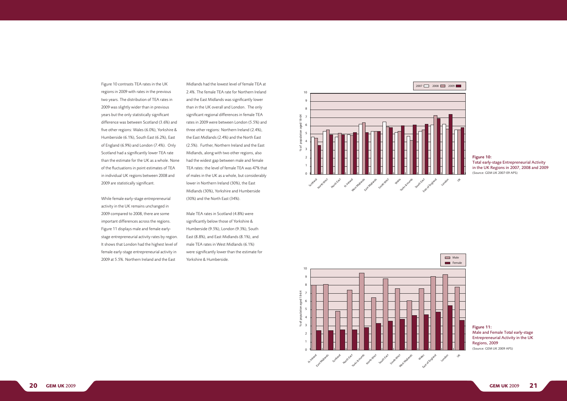Midlands had the lowest level of female TEA at 2.4%. The female TEA rate for Northern Ireland and the East Midlands was significantly lower than in the UK overall and London. The only significant regional differences in female TEA rates in 2009 were between London (5.5%) and three other regions: Northern Ireland (2.4%), the East Midlands (2.4%) and the North East (2.5%). Further, Northern Ireland and the East Midlands, along with two other regions, also had the widest gap between male and female TEA rates: the level of female TEA was 47% that of males in the UK as a whole, but considerably lower in Northern Ireland (30%), the East Midlands (30%), Yorkshire and Humberside (30%) and the North East (34%).

Male TEA rates in Scotland (4.8%) were significantly below those of Yorkshire & Humberside (9.5%), London (9.3%), South East (8.8%), and East Midlands (8.1%), and male TEA rates in West Midlands (6.1%) were significantly lower than the estimate for Yorkshire & Humberside.

#### Figure 10: Total early-stage Entrepreneurial Activity in the UK Regions in 2007, 2008 and 2009 (Source: GEM UK 2007-09 APS)

Figure 11: Male and Female Total early-stage Entrepreneurial Activity in the UK Regions, 2009 (Source: GEM UK 2009 APS)



While female early-stage entrepreneurial activity in the UK remains unchanged in 2009 compared to 2008, there are some important differences across the regions. Figure 11 displays male and female earlystage entrepreneurial activity rates by region. It shows that London had the highest level of female early-stage entrepreneurial activity in 2009 at 5.5%. Northern Ireland and the East Russia  $\mathbb{Z}$ germany  $\mathbb{Z}$ France 2002 2003 2004 2005 2006 2007 2008 2009



8 % of population aged 18-64

6

% of population aged 18-64

 $\frac{1}{\sqrt{2}}$ 

Figure 10 contrasts TEA rates in the UK regions in 2009 with rates in the previous two years. The distribution of TEA rates in 2009 was slightly wider than in previous years but the only statistically significant difference was between Scotland (3.6%) and five other regions: Wales (6.0%), Yorkshire & Humberside (6.1%), South East (6.2%), East of England (6.9%) and London (7.4%). Only Scotland had a significantly lower TEA rate than the estimate for the UK as a whole. None of the fluctuations in point estimates of TEA in individual UK regions between 2008 and 2009 are statistically significant. iy statistically significant  $\sum_{i=1}^n$  interest with the start (with the start of  $\sum_{i=1}^n$ 

7080There are good start-up opportunities where I live in the

next 6 months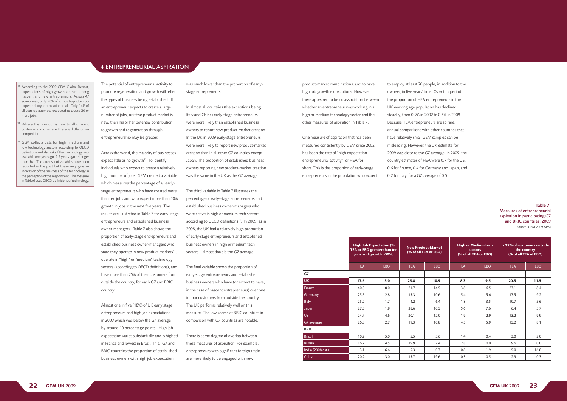- 
- 
- 

The potential of entrepreneurial activity to promote regeneration and growth will reflect the types of business being established. If an entrepreneur expects to create a large number of jobs, or if the product market is new, then his or her potential contribution to growth and regeneration through entrepreneurship may be greater.

Across the world, the majority of businesses expect little or no growth $13$ . To identify individuals who expect to create a relatively high number of jobs, GEM created a variable which measures the percentage of all earlystage entrepreneurs who have created more than ten jobs and who expect more than 50% growth in jobs in the next five years. The results are illustrated in Table 7 for early-stage entrepreneurs and established business owner-managers. Table 7 also shows the proportion of early-stage entrepreneurs and established business owner-managers who state they operate in new product markets<sup>14</sup>, operate in "high" or "medium" technology sectors (according to OECD definitions), and have more than 25% of their customers from outside the country, for each G7 and BRIC country.

Almost one in five (18%) of UK early stage entrepreneurs had high job expectations in 2009 which was below the G7 average by around 10 percentage points. High job expectation varies substantially and is highest in France and lowest in Brazil. In all G7 and BRIC countries the proportion of established business owners with high job expectation

was much lower than the proportion of earlystage entrepreneurs.

In almost all countries (the exceptions being Italy and China) early-stage entrepreneurs were more likely than established business owners to report new product-market creation. In the UK in 2009 early-stage entrepreneurs were more likely to report new product-market creation than in all other G7 countries except Japan. The proportion of established business owners reporting new product-market creation was the same in the UK as the G7 average.

The third variable in Table 7 illustrates the percentage of early-stage entrepreneurs and established business owner-managers who were active in high or medium tech sectors according to OECD definitions<sup>15</sup>. In 2009, as in 2008, the UK had a relatively high proportion of early-stage entrepreneurs and established business owners in high or medium tech sectors – almost double the G7 average.

The final variable shows the proportion of early-stage entrepreneurs and established business owners who have (or expect to have, in the case of nascent entrepreneurs) over one in four customers from outside the country. The UK performs relatively well on this measure. The low scores of BRIC countries in comparison with G7 countries are notable.

- According to the 2009 GEM Global Report, expectations of high growth are rare among nascent and new entrepreneurs. Across 47 economies, only 70% of all start-up attempts expected any job creation at all. Only 14% of all start-up attempts expected to create 20 or more jobs.
- Where the product is new to all or most customers and where there is little or no competition.
- GEM collects data for high, medium and low technology sectors according to OECD definitions and also asks if their technology was available one year ago, 2-5 years ago or longer than that. The latter set of variables have been reported in the past but these only give an indication of the newness of the technology in the perception of the respondent. The measure in Table 6 uses OECD definitions of technology.

There is some degree of overlap between these measures of aspiration. For example, entrepreneurs with significant foreign trade are more likely to be engaged with new

product-market combinations, and to have high job growth expectations. However, there appeared to be no association between whether an entrepreneur was working in a high or medium technology sector and the other measures of aspiration in Table 7.

One measure of aspiration that has been measured consistently by GEM since 2002 has been the rate of "high expectation entrepreneurial activity", or HEA for short. This is the proportion of early-stage entrepreneurs in the population who expect

**G** 

|                   | <b>High Job Expectation (%)</b><br>TEA or EBO greater than ten<br>jobs and growth >50%) |     |            | <b>New Product-Market</b><br>(% of all TEA or EBO) | <b>High or Medium tech</b><br>sectors<br>(% of all TEA or EBO) |            | > 25% of customers outside<br>the country<br>(% of all TEA of EBO) |      |  |
|-------------------|-----------------------------------------------------------------------------------------|-----|------------|----------------------------------------------------|----------------------------------------------------------------|------------|--------------------------------------------------------------------|------|--|
|                   | <b>TEA</b>                                                                              | EBO | <b>TEA</b> | <b>EBO</b>                                         | <b>TEA</b>                                                     | <b>EBO</b> | <b>TEA</b>                                                         | EBO  |  |
| G7                |                                                                                         |     |            |                                                    |                                                                |            |                                                                    |      |  |
| <b>UK</b>         | 17.6                                                                                    | 5.0 | 25.8       | 10.9                                               | 8.3                                                            | 9.5        | 20.5                                                               | 11.5 |  |
| France            | 40.8                                                                                    | 0.0 | 21.7       | 14.5                                               | 3.8                                                            | 6.5        | 23.1                                                               | 8.4  |  |
| Germany           | 25.5                                                                                    | 2.8 | 15.3       | 10.6                                               | 5.4                                                            | 5.6        | 17.5                                                               | 9.2  |  |
| <b>Italy</b>      | 25.2                                                                                    | 1.7 | 4.2        | 6.4                                                | 1.8                                                            | 3.5        | 10.7                                                               | 5.6  |  |
| Japan             | 27.3                                                                                    | 1.9 | 28.6       | 10.5                                               | 5.6                                                            | 7.6        | 6.4                                                                | 3.7  |  |
| US.               | 24.7                                                                                    | 4.6 | 20.1       | 12.0                                               | 1.9                                                            | 2.9        | 13.2                                                               | 9.9  |  |
| G7 average        | 26.8                                                                                    | 2.7 | 19.3       | 10.8                                               | 4.5                                                            | 5.9        | 15.2                                                               | 8.1  |  |
| <b>BRIC</b>       |                                                                                         |     |            |                                                    |                                                                |            |                                                                    |      |  |
| <b>Brazil</b>     | 10.2                                                                                    | 5.0 | 5.5        | 3.6                                                | 1.4                                                            | 0.4        | 3.0                                                                | 2.0  |  |
| <b>Russia</b>     | 16.7                                                                                    | 4.5 | 19.9       | 7.4                                                | 2.8                                                            | 0.0        | 9.6                                                                | 0.0  |  |
| India (2008 est.) | 3.1                                                                                     | 6.6 | 5.3        | 0.7                                                | 0.8                                                            | 1.9        | 5.0                                                                | 16.8 |  |
| China             | 20.2                                                                                    | 3.0 | 15.7       | 19.6                                               | 0.3                                                            | 0.5        | 2.9                                                                | 0.3  |  |

to employ at least 20 people, in addition to the owners, in five years' time. Over this period, the proportion of HEA entrepreneurs in the UK working age population has declined steadily, from 0.9% in 2002 to 0.5% in 2009. Because HEA entrepreneurs are so rare, annual comparisons with other countries that have relatively small GEM samples can be misleading. However, the UK estimate for 2009 was close to the G7 average. In 2009, the country estimates of HEA were 0.7 for the US, 0.6 for France, 0.4 for Germany and Japan, and 0.2 for Italy, for a G7 average of 0.5.

#### Table 7: Measures of entrepreneurial aspiration in participating G7 and BRIC countries, 2009 (Source: GEM 2009 APS)

### 4 ENTREPRENEURIAL ASPIRATION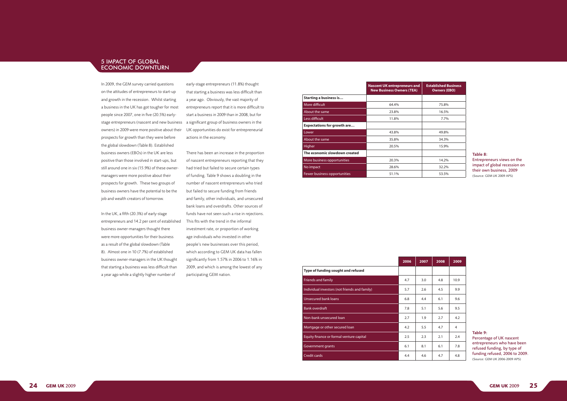In 2009, the GEM survey carried questions on the attitudes of entrepreneurs to start-up and growth in the recession. Whilst starting a business in the UK has got tougher for most people since 2007, one in five (20.5%) earlystage entrepreneurs (nascent and new business owners) in 2009 were more positive about their prospects for growth than they were before the global slowdown (Table 8). Established business owners (EBOs) in the UK are less positive than those involved in start-ups, but still around one in six (15.9%) of these ownermanagers were more positive about their prospects for growth. These two groups of business owners have the potential to be the job and wealth creators of tomorrow.

In the UK, a fifth (20.3%) of early-stage entrepreneurs and 14.2 per cent of established business owner-managers thought there were more opportunities for their business as a result of the global slowdown (Table 8). Almost one in 10 (7.7%) of established business owner-managers in the UK thought that starting a business was less difficult than a year ago while a slightly higher number of

early-stage entrepreneurs (11.8%) thought that starting a business was less difficult than a year ago. Obviously, the vast majority of entrepreneurs report that it is more difficult to start a business in 2009 than in 2008, but for a significant group of business owners in the UK opportunities do exist for entrepreneurial actions in the economy.

There has been an increase in the proportion of nascent entrepreneurs reporting that they had tried but failed to secure certain types of funding. Table 9 shows a doubling in the number of nascent entrepreneurs who tried but failed to secure funding from friends and family, other individuals, and unsecured bank loans and overdrafts. Other sources of funds have not seen such a rise in rejections. This fits with the trend in the informal investment rate, or proportion of working age individuals who invested in other people's new businesses over this period, which according to GEM UK data has fallen significantly from 1.57% in 2006 to 1.16% in 2009, and which is among the lowest of any participating GEM nation.

|                                    | <b>Nascent UK entrepreneurs and</b><br><b>New Business Owners (TEA)</b> | <b>Established Business</b><br><b>Owners (EBO)</b> |
|------------------------------------|-------------------------------------------------------------------------|----------------------------------------------------|
| <b>Starting a business is</b>      |                                                                         |                                                    |
| More difficult                     | 64.4%                                                                   | 75.8%                                              |
| About the same                     | 23.8%                                                                   | 16.5%                                              |
| Less difficult                     | 11.8%                                                                   | 7.7%                                               |
| <b>Expectations for growth are</b> |                                                                         |                                                    |
| Lower                              | 43.8%                                                                   | 49.8%                                              |
| About the same                     | 35.8%                                                                   | 34.3%                                              |
| <b>Higher</b>                      | 20.5%                                                                   | 15.9%                                              |
| The economic slowdown created      |                                                                         |                                                    |
| More business opportunities        | 20.3%                                                                   | 14.2%                                              |
| No impact                          | 28.6%                                                                   | 32.2%                                              |
| Fewer business opportunities       | 51.1%                                                                   | 53.5%                                              |

#### Table 8: Entrepreneurs views on the impact of global recession on their own business, 2009 (Source: GEM UK 2009 APS)

|                                               | 2006 | 2007 | 2008 | 2009 |
|-----------------------------------------------|------|------|------|------|
| Type of funding sought and refused            |      |      |      |      |
| <b>Friends and family</b>                     | 4.7  | 3.0  | 4.8  | 10.9 |
| Individual investors (not friends and family) | 5.7  | 2.6  | 4.5  | 9.9  |
| Unsecured bank loans                          | 6.8  | 4.4  | 6.1  | 9.6  |
| <b>Bank overdraft</b>                         | 7.8  | 5.1  | 5.6  | 9.5  |
| Non-bank unsecured loan                       | 2.7  | 1.9  | 2.7  | 4.2  |
| Mortgage or other secured loan                | 4.2  | 5.5  | 4.7  | 4    |
| Equity finance or formal venture capital      | 2.5  | 2.3  | 2.1  | 2.4  |
| <b>Government grants</b>                      | 6.1  | 8.1  | 6.1  | 7.8  |
| <b>Credit cards</b>                           | 4.4  | 4.6  | 4.7  | 4.8  |

Table 9: Percentage of UK nascent entrepreneurs who have been refused funding, by type of funding refused, 2006 to 2009. (Source: GEM UK 2006-2009 APS)



### 5 IMPACT OF GLOBAL ECONOMIC DOWNTURN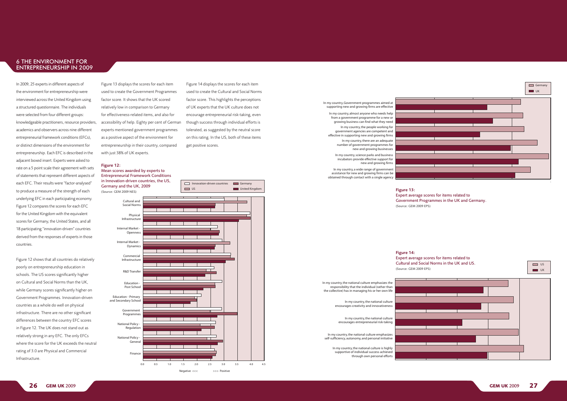



% of population aged 18-64 % of population aged 18-64

In my country, a wide range of government miny country, a wide range or government<br>assistance for new and growing firms can be assistance for new and growing immised to be amed through contact with a single agency

In my country, science parks and business incubators provide effective support for new and growing firms

In my country, the national culture encourages creativity and innovativeness

the collective) has in managing his or her own life In my country, the national culture emphasizes the responsibility that the individual (rather than

In my country, there are an adequate number of government programmes for new and growing businesses effective in supporting new and growing firms

In my country, the people working for government agencies are competent and

In my country, almost anyone who needs help from a government programme for a new or growing business can find what they need

#### In my country, Government programmes aimed at supporting new and growing firms are effective



Negative <<< >>>> Positive

Figure 14 displays the scores for each item encourage entrepreneurial risk-taking, even used to create the Cultural and Social Norms factor score. This highlights the perceptions of UK experts that the UK culture does not though success through individual efforts is tolerated, as suggested by the neutral score on this rating. In the US, both of these items get positive scores.





Government

In my country, the national culture is highly supportive of individual success achieved through own personal efforts

In my country, the national culture emphasizes self-sufficiency, autonomy, and personal initiative

In my country, the national culture encourages entrepreneurial risk-taking

1

5 Germany and the UK, 2009 Mean scores awarded by experts to Entrepreneurial Framework Conditions in Innovation-driven countries, the US,

#### Figure 12:

In 2009, 25 experts in different aspects of the environment for entrepreneurship were interviewed across the United Kingdom using a structured questionnaire. The individuals were selected from four different groups: knowledgeable practitioners, resource providers, academics and observers across nine different entrepreneurial framework conditions (EFCs), or distinct dimensions of the environment for entrepreneurship. Each EFC is described in the adjacent boxed insert. Experts were asked to rate on a 5 point scale their agreement with sets of statements that represent different aspects of each EFC. Their results were "factor-analysed" to produce a measure of the strength of each underlying EFC in each participating economy. Figure 12 compares the scores for each EFC for the United Kingdom with the equivalent scores for Germany, the United States, and all 18 participating "innovation-driven" countries derived from the responses of experts in those countries.

Figure 12 shows that all countries do relatively poorly on entrepreneurship education in schools. The US scores significantly higher on Cultural and Social Norms than the UK, while Germany scores significantly higher on Government Programmes. Innovation-driven countries as a whole do well on physical infrastructure. There are no other significant differences between the country EFC scores in Figure 12. The UK does not stand out as relatively strong in any EFC. The only EFCs where the score for the UK exceeds the neutral rating of 3.0 are Physical and Commercial Infrastructure.

experts mentioned government programmes accessibility of help. Eighty per cent of German for effectiveness-related items, and also for 5 relatively low in comparison to Germany factor score. It shows that the UK scored Figure 13 displays the scores for each item<br>used to create the Government Programmes Figure 13 displays the scores for each item<br>Second to another his Germany of Displayers with just 38% of UK experts.<br>Figure 12: entrepreneurship in their country, compared as a positive aspect of the environment for

> Expert average scores for items related to Government Programmes in the UK and Germany.

Figure 13: (Source: GEM 2009 EPS)

Expert average scores for items related to Cultural and Social Norms in the UK and US.

Figure 14: (Source: GEM 2009 EPS)

### <span id="page-13-0"></span>6 THE ENVIRONMENT FOR ENTREPRENEURSHIP IN 2009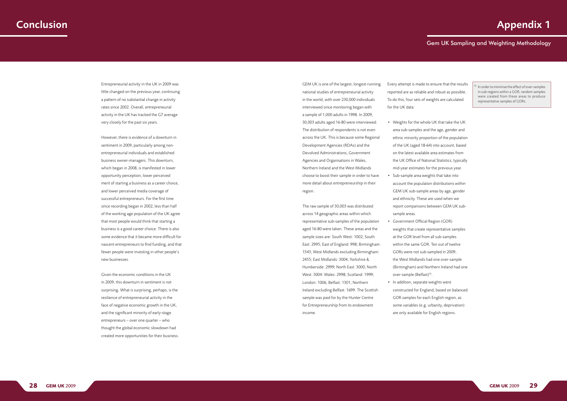

Entrepreneurial activity in the UK in 2009 was little changed on the previous year, continuing a pattern of no substantial change in activity rates since 2002. Overall, entrepreneurial activity in the UK has tracked the G7 average very closely for the past six years.

However, there is evidence of a downturn in sentiment in 2009, particularly among nonentrepreneurial individuals and established business owner-managers. This downturn, which began in 2008, is manifested in lower opportunity perception, lower perceived merit of starting a business as a career choice, and lower perceived media coverage of successful entrepreneurs. For the first time since recording began in 2002, less than half of the working age population of the UK agree that most people would think that starting a business is a good career choice. There is also some evidence that it became more difficult for nascent entrepreneurs to find funding, and that fewer people were investing in other people's new businesses.

Given the economic conditions in the UK in 2009, this downturn in sentiment is not surprising. What is surprising, perhaps, is the resilience of entrepreneurial activity in the face of negative economic growth in the UK, and the significant minority of early-stage entrepreneurs – over one quarter – who thought the global economic slowdown had created more opportunities for their business.

GEM UK is one of the largest, longest-running national studies of entrepreneurial activity in the world, with over 230,000 individuals interviewed since monitoring began with a sample of 1,000 adults in 1998. In 2009, 30,003 adults aged 16-80 were interviewed. The distribution of respondents is not even across the UK. This is because some Regional Development Agencies (RDAs) and the Devolved Administrations, Government Agencies and Organisations in Wales, Northern Ireland and the West Midlands choose to boost their sample in order to have more detail about entrepreneurship in their region.

 $\frac{1}{6}$  In order to minimise the effect of over-samples in sub-regions within a GOR, random samples were created from these areas to produce representative samples of GORs.



The raw sample of 30,003 was distributed across 14 geographic areas within which representative sub-samples of the population aged 16-80 were taken. These areas and the sample sizes are: South West: 1002; South East: 2995; East of England: 998; Birmingham: 1543; West Midlands excluding Birmingham: 2455; East Midlands: 3004; Yorkshire & Humberside: 2999; North East: 3000; North West: 3004: Wales: 2998; Scotland: 1999; London: 1006; Belfast: 1301; Northern Ireland excluding Belfast: 1699. The Scottish sample was paid for by the Hunter Centre for Entrepreneurship from its endowment income.

Every attempt is made to ensure that the results reported are as reliable and robust as possible. To do this, four sets of weights are calculated for the UK data:

• Weights for the whole UK that take the UK area sub-samples and the age, gender and ethnic minority proportion of the population of the UK (aged 18-64) into account, based the UK Office of National Statistics, typically account the population distributions *within*  GEM UK sub-sample areas by age, gender report comparisons between GEM UK sub-

- on the latest available area estimates from mid-year estimates for the previous year.
- • Sub-sample area weights that take into and ethnicity. These are used when we sample areas.
- Government Official Region (GOR) at the GOR level from all sub-samples within the same GOR. Ten out of twelve GORs were not sub-sampled in 2009; the West Midlands had one over-sample over-sample (Belfast)<sup>16</sup>. • In addition, separate weights were
- GOR samples for each English region, as are only available for English regions.

weights that create representative samples (Birmingham) and Northern Ireland had one

constructed for England, based on balanced some variables (e.g. urbanity, deprivation)

# Conclusion Appendix 1

# Gem UK Sampling and Weighting Methodology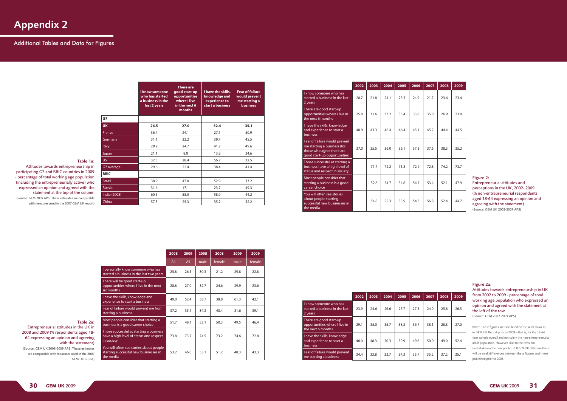|               | <b>I know someone</b><br>who has started<br>a business in the<br>last 2 years | <b>There are</b><br>good start-up<br>I have the skills,<br>knowledge and<br><b>opportunities</b><br>where I live<br>experience to<br>start a business<br>in the next 6<br>months |      | <b>Fear of failure</b><br>would prevent<br>me starting a<br><b>business</b> |
|---------------|-------------------------------------------------------------------------------|----------------------------------------------------------------------------------------------------------------------------------------------------------------------------------|------|-----------------------------------------------------------------------------|
| G7            |                                                                               |                                                                                                                                                                                  |      |                                                                             |
| <b>UK</b>     | 26.5                                                                          | 27.0                                                                                                                                                                             | 52.4 | 35.1                                                                        |
| France        | 36.4                                                                          | 24.1                                                                                                                                                                             | 27.1 | 50.9                                                                        |
| Germany       | 31.1                                                                          | 22.2                                                                                                                                                                             | 39.7 | 45.5                                                                        |
| <b>Italy</b>  | 29.9                                                                          | 24.7                                                                                                                                                                             | 41.2 | 49.6                                                                        |
| Japan         | 21.1                                                                          | 8.0                                                                                                                                                                              | 13.8 | 34.6                                                                        |
| US.           | 32.5                                                                          | 28.4                                                                                                                                                                             | 56.2 | 32.5                                                                        |
| G7 average    | 29.6                                                                          | 22.4                                                                                                                                                                             | 38.4 | 41.4                                                                        |
| <b>BRIC</b>   |                                                                               |                                                                                                                                                                                  |      |                                                                             |
| <b>Brazil</b> | 38.9                                                                          | 47.0                                                                                                                                                                             | 52.9 | 33.2                                                                        |
| <b>Russia</b> | 31.6                                                                          | 17.1                                                                                                                                                                             | 23.7 | 49.3                                                                        |
| India (2008)  | 60.5                                                                          | 58.5                                                                                                                                                                             | 58.0 | 44.2                                                                        |
| China         | 57.3                                                                          | 25.3                                                                                                                                                                             | 35.2 | 32.2                                                                        |

#### Table 1a:

Attitudes towards entrepreneurship in participating G7 and BRIC countries in 2009 - percentage of total working age population (including the entrepreneurially active) who expressed an opinion and agreed with the statement at the top of the column (Source: GEM 2009 APS. These estimates are comparable with measures used in the 2007 GEM UK report)

|                                                                                                  | 2008 | 2009 | 2008 | 2008   | 2009 | 2009   |
|--------------------------------------------------------------------------------------------------|------|------|------|--------|------|--------|
|                                                                                                  | All  | All  | male | female | male | female |
| I personally know someone who has<br>started a business in the last two years                    | 25.8 | 26.5 | 30.3 | 21.2   | 29.8 | 22.8   |
| There will be good start-up<br>opportunities where I live in the next<br>six months              | 28.8 | 27.0 | 32.7 | 24.6   | 29.9 | 23.6   |
| I have the skills, knowledge and<br>experience to start a business                               | 49.0 | 52.4 | 58.7 | 38.8   | 61.3 | 42.1   |
| Fear of failure would prevent me from<br>starting a business                                     | 37.2 | 35.1 | 34.2 | 40.4   | 31.6 | 39.1   |
| Most people consider that starting a<br>business is a good career choice                         | 51.7 | 48.1 | 53.1 | 50.3   | 49.5 | 46.4   |
| Those successful at starting a business<br>have a high level of status and respect<br>in society | 73.8 | 73.7 | 74.5 | 73.2   | 74.6 | 72.8   |
| You will often see stories about people<br>starting successful new businesses in<br>the media    | 53.2 | 46.0 | 55.1 | 51.2   | 48.3 | 43.3   |

#### Table 2a:

 $\frac{1}{\pi}$ Th op six Ih

 $\mathsf{in}$ 

Entrepreneurial attitudes in the UK in 2008 and 2009 (% respondents aged 18- 64 expressing an opinion and agreeing with the statement)

(Source: GEM UK 2008-2009 APS. These estimates are comparable with measures used in the 2007 GEM UK report)

|                                                                                                                           | 2002 | 2003 | 2004 | 2005 | 2006 | 2007 | 2008 | 2009 |
|---------------------------------------------------------------------------------------------------------------------------|------|------|------|------|------|------|------|------|
| I know someone who has<br>started a business in the last<br>2 years                                                       | 20.7 | 21.8 | 24.1 | 25.3 | 24.9 | 21.7 | 23.6 | 23.4 |
| There are good start-up<br>opportunities where I live in<br>the next 6 months                                             | 25.8 | 31.6 | 33.2 | 35.4 | 33.8 | 35.0 | 26.9 | 23.0 |
| I have the skills, knowledge<br>and experience to start a<br>business                                                     | 40.9 | 43.3 | 46.4 | 46.4 | 45.1 | 45.2 | 44.4 | 44.5 |
| Fear of failure would prevent<br>me starting a business (for<br>those who agree there are<br>good start-up opportunities) | 37.0 | 35.5 | 36.0 | 36.1 | 37.3 | 37.6 | 38.3 | 35.2 |
| Those successful at starting a<br>business have a high level of<br>status and respect in society                          |      | 71.7 | 72.2 | 71.8 | 72.9 | 72.8 | 74.2 | 73.7 |
| Most people consider that<br>starting a business is a good<br>career choice                                               |      | 52.8 | 54.7 | 54.6 | 54.7 | 53.4 | 52.1 | 47.9 |
| You will often see stories<br>about people starting<br>successful new businesses in<br>the media                          |      | 54.8 | 55.3 | 53.9 | 54.3 | 56.8 | 52.4 | 44.7 |

# Appendix 2

## Additional Tables and Data for Figures

#### Figure 2: Entrepreneurial attitudes and perceptions in the UK, 2002- 2009 (% non-entrepreneurial respondents aged 18-64 expressing an opinion and agreeing with the statement) (Source: GEM UK 2002-2009 APS)

|                                                                               | 2002 | 2003 | 2004 | 2005 | 2006 | 2007 | 2008 | 2009 |
|-------------------------------------------------------------------------------|------|------|------|------|------|------|------|------|
| I know someone who has<br>started a business in the last<br>2 years           | 23.9 | 24.6 | 26.6 | 27.7 | 27.3 | 24.0 | 25.8 | 26.5 |
| There are good start-up<br>opportunities where I live in<br>the next 6 months | 29.1 | 35.0 | 35.7 | 38.2 | 36.7 | 38.1 | 28.8 | 27.0 |
| I have the skills, knowledge<br>and experience to start a<br>business         | 46.0 | 48.3 | 50.3 | 50.9 | 49.6 | 50.0 | 49.0 | 52.4 |
| Fear of failure would prevent<br>me starting a business                       | 34.4 | 33.8 | 33.7 | 34.3 | 35.7 | 35.2 | 37.2 | 35.1 |

#### Figure 2a:

Attitudes towards entrepreneurship in UK from 2002 to 2009 - percentage of total working age population who expressed an opinion and agreed with the statement at the left of the row

(Source: GEM 2002-2009 APS)

Note: These figures are calculated on the same basis as in GEM UK Report prior to 2008 – that is, for the 18-64 year sample overall and not solely the non-entrepreneurial adult population. However, due to the revisions undertaken in the new pooled 2002-09 UK database there will be small differences between these figures and those published prior to 2008.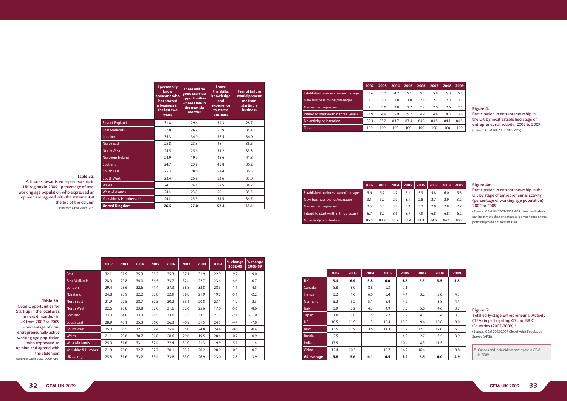|                                      | 2002 | 2003 | 2004 | 2005 | 2006 | 2007 | 2008 | 2009 |
|--------------------------------------|------|------|------|------|------|------|------|------|
| Established business owner/manager   | 5.6  | 5.7  | 4.7  | 5.1  | 5.3  | 5.8  | 6.0  | 5.8  |
| New business owner/manager           | 3.1  | 3.2  | 2.8  | 3.0  | 2.8  | 2.7  | 2.8  | 3.1  |
| Nascent entrepreneur                 | 2.1  | 3.0  | 2.8  | 2.7  | 2.7  | 2.6  | 2.6  | 2.5  |
| Intend to start (within three years) | 3.9  | 4.9  | 5.9  | 5.7  | 4.9  | 4.4  | 4.5  | 3.8  |
| No activity or intention             | 85.3 | 83.2 | 83.7 | 83.4 | 84.3 | 84.5 | 84.1 | 84.8 |
| <b>Total</b>                         | 100  | 100  | 100  | 100  | 100  | 100  | 100  | 100  |

 $18$  Canada and India did not participate in GEM in 2009

|                        | I personally<br>know<br>someone who<br>has started<br>a business in<br>the last two<br>years | There will be<br>good start-up<br><b>opportunities</b><br>where I live in<br>the next six<br>months | I have<br>the skills,<br>knowledge<br>and<br>experience<br>to start a<br><b>business</b> | <b>Fear of failure</b><br>would prevent<br>me from<br>starting a<br><b>business</b> |
|------------------------|----------------------------------------------------------------------------------------------|-----------------------------------------------------------------------------------------------------|------------------------------------------------------------------------------------------|-------------------------------------------------------------------------------------|
| <b>East of England</b> | 31.8                                                                                         | 29.6                                                                                                | 54.3                                                                                     | 28.7                                                                                |
| <b>East Midlands</b>   | 22.8                                                                                         | 26.7                                                                                                | 50.9                                                                                     | 35.1                                                                                |
| London                 | 35.3                                                                                         | 34.0                                                                                                | 57.5                                                                                     | 36.0                                                                                |
| <b>North East</b>      | 25.8                                                                                         | 23.3                                                                                                | 48.1                                                                                     | 36.5                                                                                |
| <b>North West</b>      | 24.5                                                                                         | 25.6                                                                                                | 51.2                                                                                     | 35.3                                                                                |
| Northern Ireland       | 24.9                                                                                         | 19.7                                                                                                | 45.6                                                                                     | 41.8                                                                                |
| Scotland               | 24.7                                                                                         | 23.9                                                                                                | 45.8                                                                                     | 36.2                                                                                |
| South East             | 25.3                                                                                         | 28.6                                                                                                | 54.4                                                                                     | 36.3                                                                                |
| <b>South West</b>      | 23.4                                                                                         | 26.9                                                                                                | 53.6                                                                                     | 33.0                                                                                |
| <b>Wales</b>           | 24.1                                                                                         | 24.1                                                                                                | 52.5                                                                                     | 34.2                                                                                |
| <b>West Midlands</b>   | 24.4                                                                                         | 23.8                                                                                                | 50.1                                                                                     | 35.3                                                                                |
| Yorkshire & Humberside | 24.2                                                                                         | 25.5                                                                                                | 54.5                                                                                     | 36.7                                                                                |
| <b>United Kingdom</b>  | 26.5                                                                                         | 27.0                                                                                                | 52.4                                                                                     | 35.1                                                                                |

Table 3a: Attitudes towards entrepreneurship in UK regions in 2009 - percentage of total working age population who expressed an

opinion and agreed with the statement at the top of the column (Source: GEM 2009 APS)

|                      | 2002 | 2003 | 2004 | 2005 | 2006 | 2007 | 2008 | 2009 | % change<br>2002-09 | % change<br>2008-09 |
|----------------------|------|------|------|------|------|------|------|------|---------------------|---------------------|
| East                 | 32.1 | 31.9 | 35.3 | 38.2 | 35.3 | 37.1 | 31.9 | 22.9 | $-9.2$              | $-9.0$              |
| <b>East Midlands</b> | 28.0 | 29.8 | 34.0 | 36.5 | 33.7 | 32.4 | 22.7 | 23.4 | $-4.6$              | 0.7                 |
| London               | 29.4 | 28.6 | 32.6 | 41.4 | 37.3 | 38.8 | 32.8 | 28.3 | $-1.1$              | $-4.5$              |
| N. Ireland           | 24.8 | 28.9 | 32.2 | 32.8 | 32.9 | 38.8 | 21.9 | 19.7 | $-5.1$              | $-2.2$              |
| North East           | 21.9 | 29.5 | 28.7 | 32.5 | 30.2 | 33.1 | 20.8 | 23.1 | 1.2                 | 2.3                 |
| <b>North West</b>    | 22.6 | 28.8 | 33.8 | 32.0 | 31.6 | 32.6 | 25.6 | 17.0 | $-5.6$              | $-8.6$              |
| <b>Scotland</b>      | 23.3 | 34.0 | 33.3 | 28.5 | 33.6 | 33.5 | 33.1 | 21.2 | $-2.1$              | $-11.9$             |
| South East           | 28.9 | 40.1 | 35.3 | 36.0 | 36.3 | 40.9 | 31.5 | 24.5 | $-4.4$              | $-7.0$              |
| South West           | 25.0 | 36.5 | 32.1 | 39.4 | 35.9 | 35.0 | 24.8 | 24.4 | $-0.6$              | $-0.4$              |
| <b>Wales</b>         | 21.1 | 29.6 | 30.7 | 31.8 | 28.6 | 29.6 | 19.5 | 20.4 | $-0.7$              | 0.9                 |
| West Midlands        | 25.0 | 31.6 | 33.1 | 37.4 | 32.4 | 31.0 | 21.3 | 19.9 | $-5.1$              | $-1.4$              |
| Yorkshire & Humber   | 21.8 | 25.0 | 32.7 | 32.7 | 30.1 | 33.2 | 20.2 | 20.9 | $-0.9$              | 0.7                 |
| UK average           | 25.8 | 31.6 | 33.2 | 35.4 | 33.8 | 35.0 | 26.9 | 23.0 | $-2.8$              | $-3.9$              |

Table 3b:

Good Opportunities for Start-up in the local area in next 6 months - in UK from 2002 to 2009 - percentage of nonentrepreneurially active working age population who expressed an opinion and agreed with

the statement

(Source: GEM 2002-2009 APS)

#### Figure 4:

Participation in entrepreneurship in the UK by most established stage of entrepreneurial activity, 2002 to 2009 (Source: GEM UK 2002-2009 APS)

|                                      | 2002 | 2003 | 2004 | 2005 | 2006 | 2007 | 2008 | 2009 |
|--------------------------------------|------|------|------|------|------|------|------|------|
| Established business owner/manager   | 5.6  | 5.7  | 4.7  | 5.1  | 5.3  | 5.8  | 6.0  | 5.8  |
| New business owner/manager           | 3.1  | 3.2  | 2.9  | 3.1  | 2.8  | 2.7  | 2.9  | 3.2  |
| Nascent entrepreneur                 | 2.5  | 3.5  | 3.2  | 3.2  | 3.2  | 2.9  | 2.8  | 2.7  |
| Intend to start (within three years) | 6.7  | 8.0  | 8.6  | 8.7  | 7.9  | 6.8  | 6.8  | 6.2  |
| No activity or intention             | 85.3 | 83.2 | 83.7 | 83.4 | 84.3 | 84.5 | 84.1 | 83.7 |

#### Figure 4a: Participation in entrepreneurship in the UK by stage of entrepreneurial activity (percentage of working age population), 2002 to 2009

(Source: GEM UK 2002-2009 APS. Note: individuals can be in more than one stage at a time; hence annual percentages do not total to 100)

|                   | 2002 | 2003 | 2004 | 2005 | 2006 | 2007 | 2008 | 2009 |
|-------------------|------|------|------|------|------|------|------|------|
| <b>UK</b>         | 5.4  | 6.4  | 5.8  | 6.0  | 5.8  | 5.5  | 5.5  | 5.8  |
| Canada            | 8.8  | 8.0  | 8.8  | 9.3  | 7.1  |      |      |      |
| France            | 3.2  | 1.6  | 6.0  | 5.4  | 4.4  | 3.2  | 5.6  | 4.3  |
| Germany           | 5.2  | 5.2  | 5.1  | 5.4  | 4.2  |      | 3.8  | 4.1  |
| <b>Italy</b>      | 5.9  | 3.2  | 4.3  | 4.9  | 3.5  | 5.0  | 4.6  | 3.7  |
| Japan             | 1.8  | 2.8  | 1.5  | 2.2  | 2.9  | 4.3  | 5.4  | 3.3  |
| US.               | 10.5 | 11.9 | 11.3 | 12.4 | 10.0 | 9.6  | 10.8 | 8.0  |
| <b>Brazil</b>     | 13.5 | 12.9 | 13.5 | 11.3 | 11.7 | 12.7 | 12.0 | 15.3 |
| <b>Russia</b>     | 2.5  |      |      |      | 4.9  | 2.7  | 3.5  | 3.9  |
| India             | 17.9 |      |      |      | 10.4 | 8.5  | 11.5 |      |
| China             | 12.4 | 10.5 |      | 13.7 | 16.2 | 16.4 |      | 18.8 |
| <b>G7</b> average | 5.8  | 5.6  | 6.1  | 6.5  | 5.4  | 5.5  | 6.0  | 4.9  |

#### Figure 5: Total early-stage Entrepreneurial Activity (TEA) in participating G7 and BRIC Countries (2002-2009)18

(Source: GEM 2002-2009 Global Adult Population Survey (APS))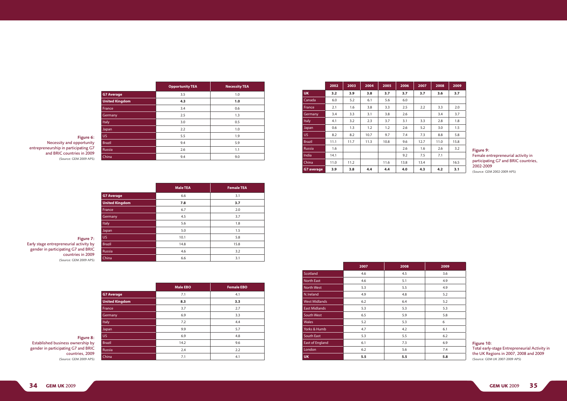| <b>Male EBO</b> | <b>Female EBO</b> |
|-----------------|-------------------|
| 7.1             | 4.1               |
| 8.3             | 3.3               |
| 3.7             | 2.7               |
| 6.9             | 3.3               |
| 7.2             | 4.4               |
| 9.9             | 5.7               |
| 6.9             | 4.8               |
| 14.2            | 9.6               |
| 2.4             | 2.2               |
| 7.1             | 4.1               |
|                 |                   |

|                       | <b>Opportunity TEA</b> | <b>Necessity TEA</b> |
|-----------------------|------------------------|----------------------|
| <b>G7 Average</b>     | 3.5                    | 1.0                  |
| <b>United Kingdom</b> | 4.3                    | 1.0                  |
| France                | 3.4                    | 0.6                  |
| Germany               | 2.5                    | 1.3                  |
| Italy                 | 3.0                    | 0.5                  |
| Japan                 | 2.2                    | 1.0                  |
| <b>US</b>             | 5.5                    | 1.9                  |
| <b>Brazil</b>         | 9.4                    | 5.9                  |
| <b>Russia</b>         | 2.6                    | 1.1                  |
| China                 | 9.4                    | 9.0                  |

Figure 6: Necessity and opportunity entrepreneurship in participating G7 and BRIC countries in 2009 (Source: GEM 2009 APS)

|                       | <b>Male TEA</b> | <b>Female TEA</b> |
|-----------------------|-----------------|-------------------|
| <b>G7 Average</b>     | 6.6             | 3.1               |
| <b>United Kingdom</b> | 7.8             | 3.7               |
| France                | 6.7             | 2.0               |
| Germany               | 4.5             | 3.7               |
| Italy                 | 5.6             | 1.8               |
| Japan                 | 5.0             | 1.5               |
| US.                   | 10.1            | 5.8               |
| <b>Brazil</b>         | 14.8            | 15.8              |
| Russia                | 4.6             | 3.2               |
| China                 | 6.6             | 3.1               |

Figure 7: Early stage entrepreneurial activity by gender in participating G7 and BRIC countries in 2009 (Source: GEM 2009 APS)

#### Figure 8:

Established business ownership by gender in participating G7 and BRIC countries, 2009 (Source: GEM 2009 APS)

|               | 2002 | 2003 | 2004 | 2005 | 2006 | 2007 | 2008 | 2009 |
|---------------|------|------|------|------|------|------|------|------|
| <b>UK</b>     | 3.2  | 3.9  | 3.8  | 3.7  | 3.7  | 3.7  | 3.6  | 3.7  |
| Canada        | 6.0  | 5.2  | 6.1  | 5.6  | 6.0  |      |      |      |
| France        | 2.1  | 1.6  | 3.8  | 3.3  | 2.5  | 2.2  | 3.3  | 2.0  |
| Germany       | 3.4  | 3.3  | 3.1  | 3.8  | 2.6  |      | 3.4  | 3.7  |
| <b>Italy</b>  | 4.1  | 3.2  | 2.3  | 3.7  | 3.1  | 3.3  | 2.8  | 1.8  |
| Japan         | 0.6  | 1.3  | 1.2  | 1.2  | 2.6  | 5.2  | 3.0  | 1.5  |
| US.           | 8.2  | 8.2  | 10.7 | 9.7  | 7.4  | 7.3  | 8.8  | 5.8  |
| <b>Brazil</b> | 11.1 | 11.7 | 11.3 | 10.8 | 9.6  | 12.7 | 11.0 | 15.8 |
| <b>Russia</b> | 1.6  |      |      |      | 2.6  | 1.6  | 2.6  | 3.2  |
| India         | 14.1 |      |      |      | 9.2  | 7.5  | 7.1  |      |
| China         | 11.0 | 11.2 |      | 11.6 | 13.8 | 13.4 |      | 16.5 |
| G7 average    | 3.9  | 3.8  | 4.4  | 4.4  | 4.0  | 4.3  | 4.2  | 3.1  |

### Figure 9: Female entrepreneurial activity in participating G7 and BRIC countries, 2002-2009

(Source: GEM 2002-2009 APS)

| 2009 |
|------|
| 3.6  |
| 4.9  |
| 4.9  |
| 5.2  |
| 5.2  |
| 5.3  |
| 5.8  |
| 6    |
| 6.1  |
| 6.2  |
| 6.9  |
| 7.4  |
| 5.8  |

|                        | 2007 | 2008 | 2009 |  |
|------------------------|------|------|------|--|
| Scotland               | 4.6  | 4.5  | 3.6  |  |
| <b>North East</b>      | 4.6  | 5.1  | 4.9  |  |
| <b>North West</b>      | 5.3  | 5.5  | 4.9  |  |
| N. Ireland             | 4.9  | 4.8  | 5.2  |  |
| <b>West Midlands</b>   | 6.2  | 6.4  | 5.2  |  |
| <b>East Midlands</b>   | 5.3  | 5.3  | 5.3  |  |
| <b>South West</b>      | 6.5  | 5.9  | 5.8  |  |
| <b>Wales</b>           | 5.2  | 5.3  | 6    |  |
| Yorks & Humb           | 4.7  | 4.2  | 6.1  |  |
| <b>South East</b>      | 5.3  | 5.5  | 6.2  |  |
| <b>East of England</b> | 6.1  | 7.3  | 6.9  |  |
| London                 | 6.2  | 5.6  | 7.4  |  |
| <b>UK</b>              | 5.5  | 5.5  | 5.8  |  |

Figure 10: Total early-stage Entrepreneurial Activity in the UK Regions in 2007, 2008 and 2009 (Source: GEM UK 2007-2009 APS)

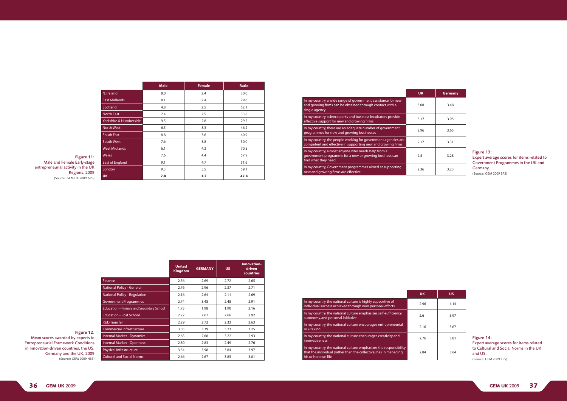|                        | <b>Male</b> | <b>Female</b> | <b>Ratio</b> |
|------------------------|-------------|---------------|--------------|
| N. Ireland             | 8.0         | 2.4           | 30.0         |
| <b>East Midlands</b>   | 8.1         | 2.4           | 29.6         |
| Scotland               | 4.8         | 2.5           | 52.1         |
| <b>North East</b>      | 7.4         | 2.5           | 33.8         |
| Yorkshire & Humberside | 9.5         | 2.8           | 29.5         |
| <b>North West</b>      | 6.5         | 3.3           | 46.2         |
| South East             | 8.8         | 3.6           | 40.9         |
| South West             | 7.6         | 3.8           | 50.0         |
| <b>West Midlands</b>   | 6.1         | 4.3           | 70.5         |
| <b>Wales</b>           | 7.6         | 4.4           | 57.9         |
| <b>East of England</b> | 9.1         | 4.7           | 51.6         |
| London                 | 9.3         | 5.5           | 59.1         |
| <b>UK</b>              | 7.8         | 3.7           | 47.4         |

|                                                                                                                                           | <b>UK</b> | <b>Germany</b> |
|-------------------------------------------------------------------------------------------------------------------------------------------|-----------|----------------|
| In my country, a wide range of government assistance for new<br>and growing firms can be obtained through contact with a<br>single agency | 3.08      | 3.48           |
| In my country, science parks and business incubators provide<br>effective support for new and growing firms                               | 3.17      | 3.95           |
| In my country, there are an adequate number of government<br>programmes for new and growing businesses                                    | 2.96      | 3.65           |
| In my country, the people working for government agencies are<br>competent and effective in supporting new and growing firms              | 2.17      | 3.31           |
| In my country, almost anyone who needs help from a<br>government programme for a new or growing business can<br>find what they need       | 2.5       | 3.28           |
| In my country, Government programmes aimed at supporting<br>new and growing firms are effective                                           | 2.36      | 3.23           |

Figure 11: Male and Female Early-stage entrepreneurial activity in the UK Regions, 2009 (Source: GEM UK 2009 APS)

|                                                 | <b>United</b><br><b>Kingdom</b> | <b>GERMANY</b> | <b>US</b> | Innovation-<br>driven<br>countries |
|-------------------------------------------------|---------------------------------|----------------|-----------|------------------------------------|
| <b>Finance</b>                                  | 2.56                            | 2.69           | 2.72      | 2.65                               |
| National Policy - General                       | 2.76                            | 2.96           | 2.37      | 2.71                               |
| <b>National Policy - Regulation</b>             | 2.16                            | 2.64           | 2.11      | 2.69                               |
| <b>Government Programmes</b>                    | 2.74                            | 3.48           | 2.48      | 2.91                               |
| <b>Education - Primary and Secondary School</b> | 1.75                            | 1.98           | 1.90      | 2.16                               |
| <b>Education - Post School</b>                  | 2.22                            | 2.67           | 2.66      | 2.92                               |
| <b>R&amp;D Transfer</b>                         | 2.29                            | 2.72           | 2.33      | 2.63                               |
| Commercial Infrastructure                       | 3.05                            | 3.39           | 3.23      | 3.25                               |
| <b>Internal Market - Dynamics</b>               | 2.65                            | 2.68           | 3.22      | 2.93                               |
| <b>Internal Market - Openness</b>               | 2.80                            | 2.83           | 2.49      | 2.76                               |
| Physical Infrastructure                         | 3.54                            | 3.98           | 3.84      | 3.97                               |
| <b>Cultural and Social Norms</b>                | 2.66                            | 2.67           | 3.85      | 3.01                               |

#### Figure 12:

Mean scores awarded by experts to Entrepreneurial Framework Conditions in Innovation-driven countries, the US, Germany and the UK, 2009 (Source: GEM 2009 NES)

Figure 13: Expert average scores for items related to Government Programmes in the UK and Germany. (Source: GEM 2009 EPS)

|                                                                                                                                                              | <b>UK</b> | <b>US</b> |
|--------------------------------------------------------------------------------------------------------------------------------------------------------------|-----------|-----------|
| In my country, the national culture is highly supportive of<br>individual success achieved through own personal efforts                                      | 2.96      | 4.14      |
| In my country, the national culture emphasizes self-sufficiency,<br>autonomy, and personal initiative                                                        | 2.6       | 3.97      |
| In my country, the national culture encourages entrepreneurial<br>risk-taking                                                                                | 2.16      | 3.67      |
| In my country, the national culture encourages creativity and<br>innovativeness                                                                              | 2.76      | 3.81      |
| In my country, the national culture emphasizes the responsibility<br>that the individual (rather than the collective) has in managing<br>his or her own life | 2.84      | 3.64      |

Figure 14: Expert average scores for items related to Cultural and Social Norms in the UK and US. (Source: GEM 2009 EPS)